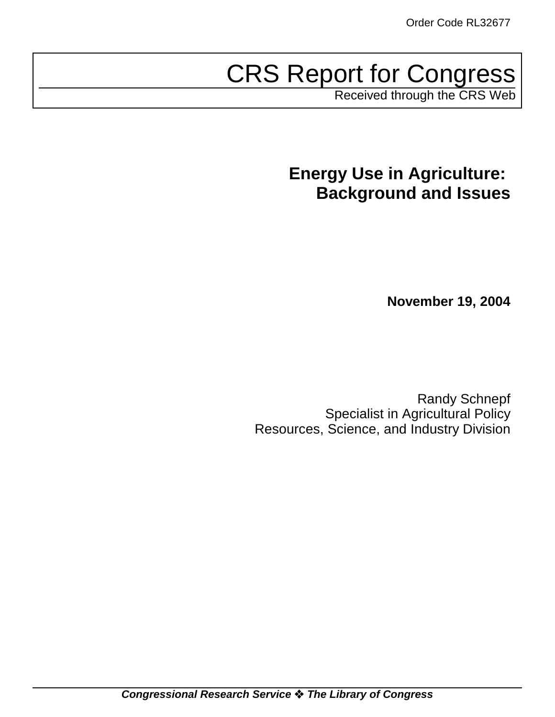# CRS Report for Congress

Received through the CRS Web

# **Energy Use in Agriculture: Background and Issues**

**November 19, 2004**

Randy Schnepf Specialist in Agricultural Policy Resources, Science, and Industry Division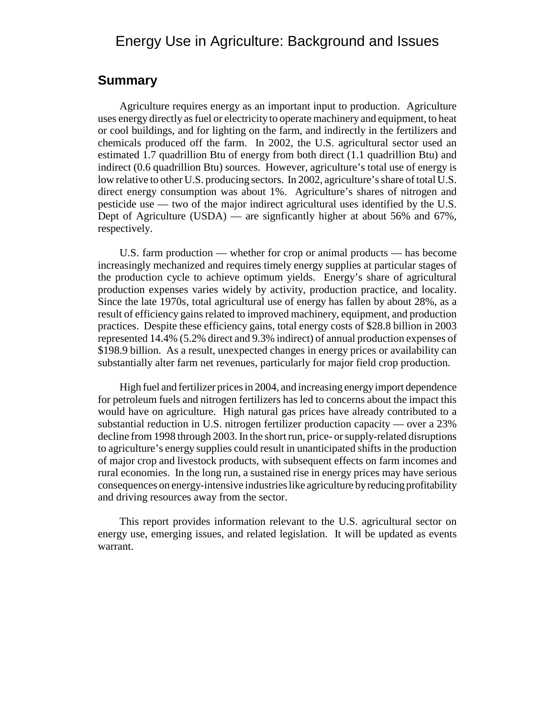# Energy Use in Agriculture: Background and Issues

### **Summary**

Agriculture requires energy as an important input to production. Agriculture uses energy directly as fuel or electricity to operate machinery and equipment, to heat or cool buildings, and for lighting on the farm, and indirectly in the fertilizers and chemicals produced off the farm. In 2002, the U.S. agricultural sector used an estimated 1.7 quadrillion Btu of energy from both direct (1.1 quadrillion Btu) and indirect (0.6 quadrillion Btu) sources. However, agriculture's total use of energy is low relative to other U.S. producing sectors. In 2002, agriculture's share of total U.S. direct energy consumption was about 1%. Agriculture's shares of nitrogen and pesticide use — two of the major indirect agricultural uses identified by the U.S. Dept of Agriculture (USDA) — are signficantly higher at about 56% and 67%, respectively.

U.S. farm production — whether for crop or animal products — has become increasingly mechanized and requires timely energy supplies at particular stages of the production cycle to achieve optimum yields. Energy's share of agricultural production expenses varies widely by activity, production practice, and locality. Since the late 1970s, total agricultural use of energy has fallen by about 28%, as a result of efficiency gains related to improved machinery, equipment, and production practices. Despite these efficiency gains, total energy costs of \$28.8 billion in 2003 represented 14.4% (5.2% direct and 9.3% indirect) of annual production expenses of \$198.9 billion. As a result, unexpected changes in energy prices or availability can substantially alter farm net revenues, particularly for major field crop production.

High fuel and fertilizer prices in 2004, and increasing energy import dependence for petroleum fuels and nitrogen fertilizers has led to concerns about the impact this would have on agriculture. High natural gas prices have already contributed to a substantial reduction in U.S. nitrogen fertilizer production capacity — over a 23% decline from 1998 through 2003. In the short run, price- or supply-related disruptions to agriculture's energy supplies could result in unanticipated shifts in the production of major crop and livestock products, with subsequent effects on farm incomes and rural economies. In the long run, a sustained rise in energy prices may have serious consequences on energy-intensive industries like agriculture by reducing profitability and driving resources away from the sector.

This report provides information relevant to the U.S. agricultural sector on energy use, emerging issues, and related legislation. It will be updated as events warrant.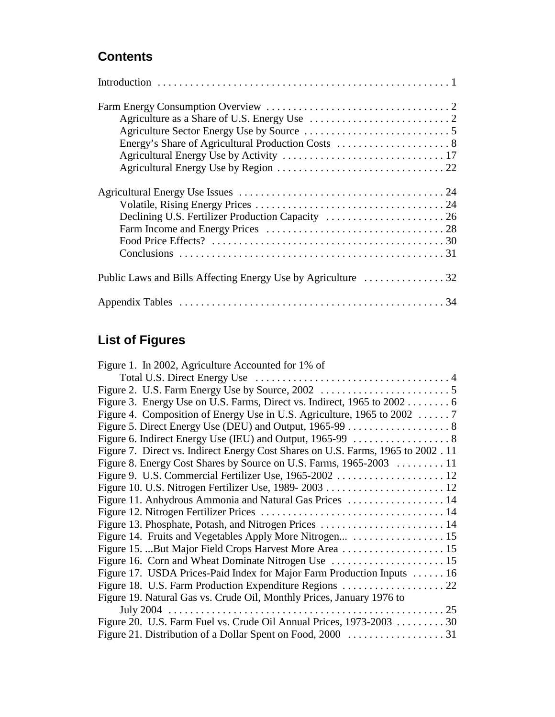# **Contents**

# **List of Figures**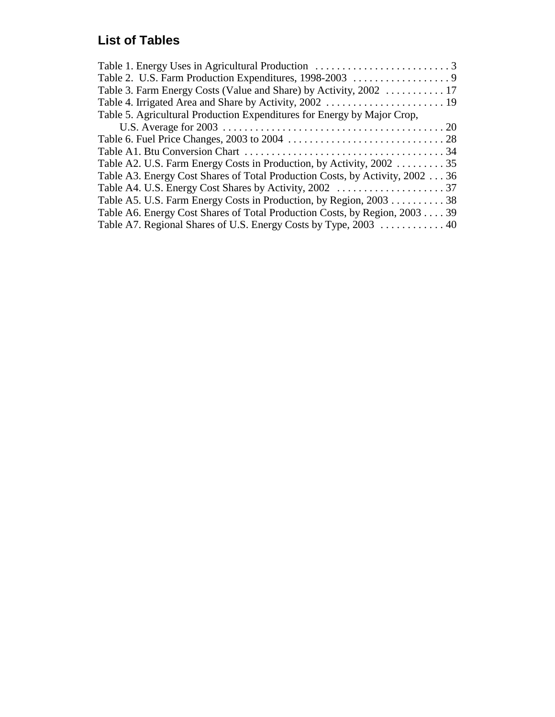# **List of Tables**

| Table 5. Agricultural Production Expenditures for Energy by Major Crop,       |  |
|-------------------------------------------------------------------------------|--|
|                                                                               |  |
|                                                                               |  |
|                                                                               |  |
| Table A2. U.S. Farm Energy Costs in Production, by Activity, 2002 35          |  |
| Table A3. Energy Cost Shares of Total Production Costs, by Activity, 2002  36 |  |
|                                                                               |  |
| Table A5. U.S. Farm Energy Costs in Production, by Region, 2003 38            |  |
| Table A6. Energy Cost Shares of Total Production Costs, by Region, 2003 39    |  |
| Table A7. Regional Shares of U.S. Energy Costs by Type, 2003  40              |  |
|                                                                               |  |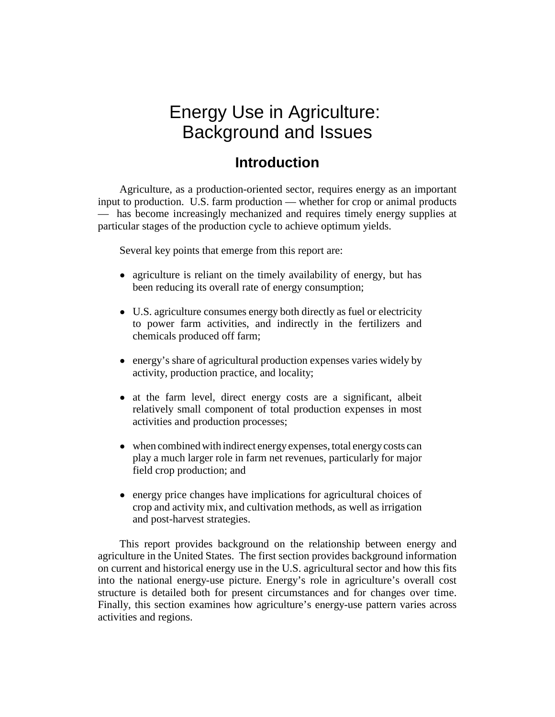# Energy Use in Agriculture: Background and Issues

# **Introduction**

Agriculture, as a production-oriented sector, requires energy as an important input to production. U.S. farm production — whether for crop or animal products — has become increasingly mechanized and requires timely energy supplies at particular stages of the production cycle to achieve optimum yields.

Several key points that emerge from this report are:

- agriculture is reliant on the timely availability of energy, but has been reducing its overall rate of energy consumption;
- U.S. agriculture consumes energy both directly as fuel or electricity to power farm activities, and indirectly in the fertilizers and chemicals produced off farm;
- energy's share of agricultural production expenses varies widely by activity, production practice, and locality;
- at the farm level, direct energy costs are a significant, albeit relatively small component of total production expenses in most activities and production processes;
- when combined with indirect energy expenses, total energy costs can play a much larger role in farm net revenues, particularly for major field crop production; and
- energy price changes have implications for agricultural choices of crop and activity mix, and cultivation methods, as well as irrigation and post-harvest strategies.

This report provides background on the relationship between energy and agriculture in the United States. The first section provides background information on current and historical energy use in the U.S. agricultural sector and how this fits into the national energy-use picture. Energy's role in agriculture's overall cost structure is detailed both for present circumstances and for changes over time. Finally, this section examines how agriculture's energy-use pattern varies across activities and regions.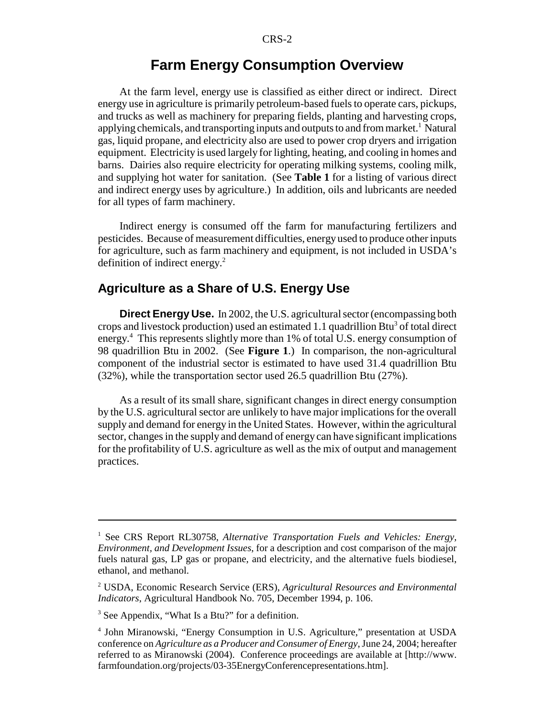# **Farm Energy Consumption Overview**

At the farm level, energy use is classified as either direct or indirect. Direct energy use in agriculture is primarily petroleum-based fuels to operate cars, pickups, and trucks as well as machinery for preparing fields, planting and harvesting crops, applying chemicals, and transporting inputs and outputs to and from market.<sup>1</sup> Natural gas, liquid propane, and electricity also are used to power crop dryers and irrigation equipment. Electricity is used largely for lighting, heating, and cooling in homes and barns. Dairies also require electricity for operating milking systems, cooling milk, and supplying hot water for sanitation. (See **Table 1** for a listing of various direct and indirect energy uses by agriculture.) In addition, oils and lubricants are needed for all types of farm machinery.

Indirect energy is consumed off the farm for manufacturing fertilizers and pesticides. Because of measurement difficulties, energy used to produce other inputs for agriculture, such as farm machinery and equipment, is not included in USDA's definition of indirect energy. $2$ 

### **Agriculture as a Share of U.S. Energy Use**

**Direct Energy Use.** In 2002, the U.S. agricultural sector (encompassing both crops and livestock production) used an estimated 1.1 quadrillion  $Btu<sup>3</sup>$  of total direct energy.4 This represents slightly more than 1% of total U.S. energy consumption of 98 quadrillion Btu in 2002. (See **Figure 1**.) In comparison, the non-agricultural component of the industrial sector is estimated to have used 31.4 quadrillion Btu (32%), while the transportation sector used 26.5 quadrillion Btu (27%).

As a result of its small share, significant changes in direct energy consumption by the U.S. agricultural sector are unlikely to have major implications for the overall supply and demand for energy in the United States. However, within the agricultural sector, changes in the supply and demand of energy can have significant implications for the profitability of U.S. agriculture as well as the mix of output and management practices.

<sup>&</sup>lt;sup>1</sup> See CRS Report RL30758, Alternative Transportation Fuels and Vehicles: Energy, *Environment, and Development Issues*, for a description and cost comparison of the major fuels natural gas, LP gas or propane, and electricity, and the alternative fuels biodiesel, ethanol, and methanol.

<sup>2</sup> USDA, Economic Research Service (ERS), *Agricultural Resources and Environmental Indicators*, Agricultural Handbook No. 705, December 1994, p. 106.

<sup>&</sup>lt;sup>3</sup> See Appendix, "What Is a Btu?" for a definition.

<sup>4</sup> John Miranowski, "Energy Consumption in U.S. Agriculture," presentation at USDA conference on *Agriculture as a Producer and Consumer of Energy*, June 24, 2004; hereafter referred to as Miranowski (2004). Conference proceedings are available at [http://www. farmfoundation.org/projects/03-35EnergyConferencepresentations.htm].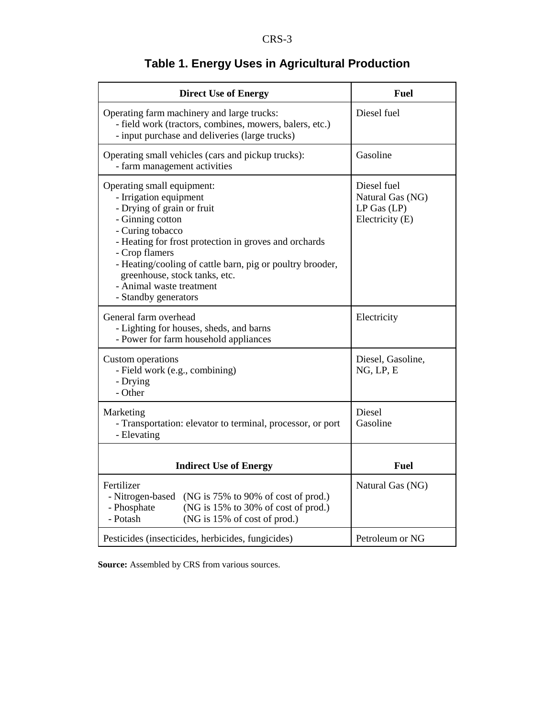| <b>Direct Use of Energy</b>                                                                                                                                                                                                                                                                                                                             | <b>Fuel</b>                                                           |
|---------------------------------------------------------------------------------------------------------------------------------------------------------------------------------------------------------------------------------------------------------------------------------------------------------------------------------------------------------|-----------------------------------------------------------------------|
| Operating farm machinery and large trucks:<br>- field work (tractors, combines, mowers, balers, etc.)<br>- input purchase and deliveries (large trucks)                                                                                                                                                                                                 | Diesel fuel                                                           |
| Operating small vehicles (cars and pickup trucks):<br>- farm management activities                                                                                                                                                                                                                                                                      | Gasoline                                                              |
| Operating small equipment:<br>- Irrigation equipment<br>- Drying of grain or fruit<br>- Ginning cotton<br>- Curing tobacco<br>- Heating for frost protection in groves and orchards<br>- Crop flamers<br>- Heating/cooling of cattle barn, pig or poultry brooder,<br>greenhouse, stock tanks, etc.<br>- Animal waste treatment<br>- Standby generators | Diesel fuel<br>Natural Gas (NG)<br>$LP$ Gas $(LP)$<br>Electricity (E) |
| General farm overhead<br>- Lighting for houses, sheds, and barns<br>- Power for farm household appliances                                                                                                                                                                                                                                               | Electricity                                                           |
| Custom operations<br>- Field work (e.g., combining)<br>- Drying<br>- Other                                                                                                                                                                                                                                                                              | Diesel, Gasoline,<br>NG, LP, E                                        |
| Marketing<br>- Transportation: elevator to terminal, processor, or port<br>- Elevating                                                                                                                                                                                                                                                                  | Diesel<br>Gasoline                                                    |
| <b>Indirect Use of Energy</b>                                                                                                                                                                                                                                                                                                                           | <b>Fuel</b>                                                           |
| Fertilizer<br>- Nitrogen-based (NG is 75% to 90% of cost of prod.)<br>- Phosphate<br>(NG is 15% to 30% of cost of prod.)<br>- Potash<br>(NG is 15% of cost of prod.)                                                                                                                                                                                    | Natural Gas (NG)                                                      |
| Pesticides (insecticides, herbicides, fungicides)                                                                                                                                                                                                                                                                                                       | Petroleum or NG                                                       |

# **Table 1. Energy Uses in Agricultural Production**

**Source:** Assembled by CRS from various sources.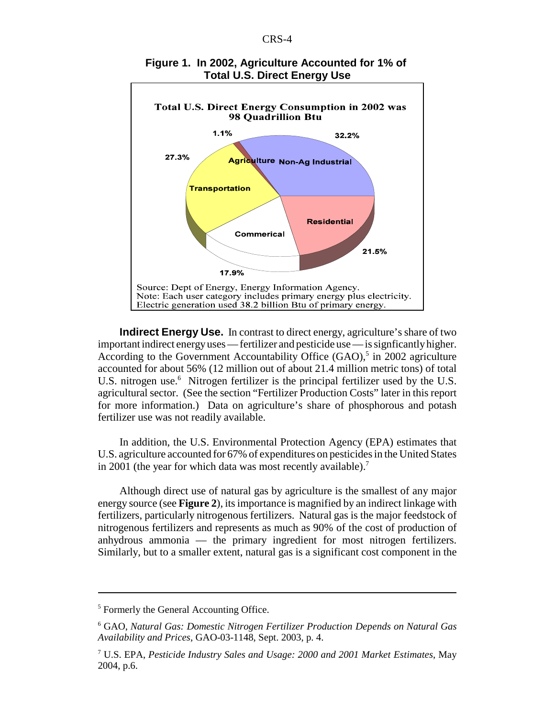

#### **Figure 1. In 2002, Agriculture Accounted for 1% of Total U.S. Direct Energy Use**

**Indirect Energy Use.** In contrast to direct energy, agriculture's share of two important indirect energy uses — fertilizer and pesticide use — is signficantly higher. According to the Government Accountability Office  $(GAO)$ ,<sup>5</sup> in 2002 agriculture accounted for about 56% (12 million out of about 21.4 million metric tons) of total U.S. nitrogen use.<sup>6</sup> Nitrogen fertilizer is the principal fertilizer used by the U.S. agricultural sector. (See the section "Fertilizer Production Costs" later in this report for more information.) Data on agriculture's share of phosphorous and potash fertilizer use was not readily available.

In addition, the U.S. Environmental Protection Agency (EPA) estimates that U.S. agriculture accounted for 67% of expenditures on pesticides in the United States in 2001 (the year for which data was most recently available).<sup>7</sup>

Although direct use of natural gas by agriculture is the smallest of any major energy source (see **Figure 2**), its importance is magnified by an indirect linkage with fertilizers, particularly nitrogenous fertilizers. Natural gas is the major feedstock of nitrogenous fertilizers and represents as much as 90% of the cost of production of anhydrous ammonia — the primary ingredient for most nitrogen fertilizers. Similarly, but to a smaller extent, natural gas is a significant cost component in the

<sup>&</sup>lt;sup>5</sup> Formerly the General Accounting Office.

<sup>6</sup> GAO, *Natural Gas: Domestic Nitrogen Fertilizer Production Depends on Natural Gas Availability and Prices*, GAO-03-1148, Sept. 2003, p. 4.

<sup>7</sup> U.S. EPA, *Pesticide Industry Sales and Usage: 2000 and 2001 Market Estimates*, May 2004, p.6.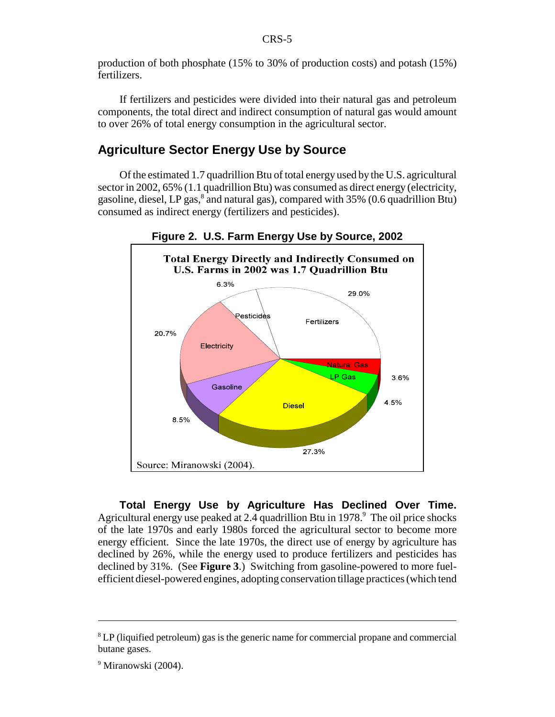production of both phosphate (15% to 30% of production costs) and potash (15%) fertilizers.

If fertilizers and pesticides were divided into their natural gas and petroleum components, the total direct and indirect consumption of natural gas would amount to over 26% of total energy consumption in the agricultural sector.

### **Agriculture Sector Energy Use by Source**

Of the estimated 1.7 quadrillion Btu of total energy used by the U.S. agricultural sector in 2002, 65% (1.1 quadrillion Btu) was consumed as direct energy (electricity, gasoline, diesel, LP gas,<sup>8</sup> and natural gas), compared with 35% (0.6 quadrillion Btu) consumed as indirect energy (fertilizers and pesticides).



**Figure 2. U.S. Farm Energy Use by Source, 2002**

**Total Energy Use by Agriculture Has Declined Over Time.** Agricultural energy use peaked at 2.4 quadrillion Btu in 1978.<sup>9</sup> The oil price shocks of the late 1970s and early 1980s forced the agricultural sector to become more energy efficient. Since the late 1970s, the direct use of energy by agriculture has declined by 26%, while the energy used to produce fertilizers and pesticides has declined by 31%. (See **Figure 3**.) Switching from gasoline-powered to more fuelefficient diesel-powered engines, adopting conservation tillage practices (which tend

<sup>&</sup>lt;sup>8</sup> LP (liquified petroleum) gas is the generic name for commercial propane and commercial butane gases.

<sup>&</sup>lt;sup>9</sup> Miranowski (2004).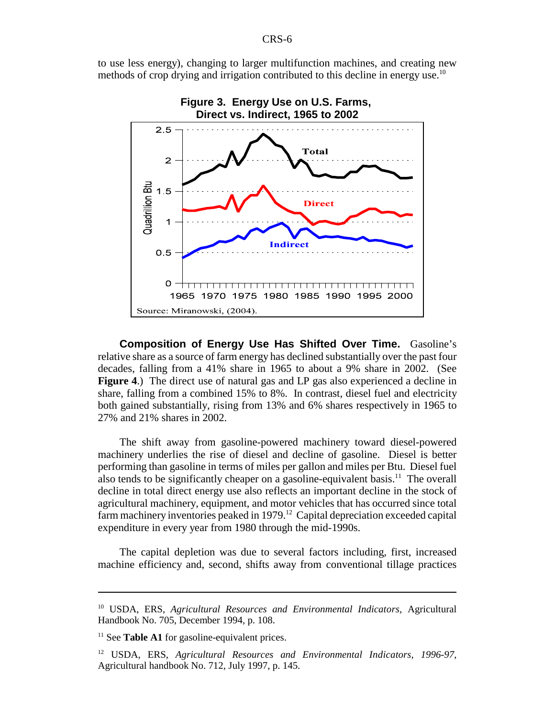to use less energy), changing to larger multifunction machines, and creating new methods of crop drying and irrigation contributed to this decline in energy use.<sup>10</sup>



**Composition of Energy Use Has Shifted Over Time.** Gasoline's relative share as a source of farm energy has declined substantially over the past four decades, falling from a 41% share in 1965 to about a 9% share in 2002. (See **Figure 4**.) The direct use of natural gas and LP gas also experienced a decline in share, falling from a combined 15% to 8%. In contrast, diesel fuel and electricity both gained substantially, rising from 13% and 6% shares respectively in 1965 to 27% and 21% shares in 2002.

The shift away from gasoline-powered machinery toward diesel-powered machinery underlies the rise of diesel and decline of gasoline. Diesel is better performing than gasoline in terms of miles per gallon and miles per Btu. Diesel fuel also tends to be significantly cheaper on a gasoline-equivalent basis.<sup>11</sup> The overall decline in total direct energy use also reflects an important decline in the stock of agricultural machinery, equipment, and motor vehicles that has occurred since total farm machinery inventories peaked in  $1979$ <sup>12</sup> Capital depreciation exceeded capital expenditure in every year from 1980 through the mid-1990s.

The capital depletion was due to several factors including, first, increased machine efficiency and, second, shifts away from conventional tillage practices

<sup>10</sup> USDA, ERS, *Agricultural Resources and Environmental Indicators*, Agricultural Handbook No. 705, December 1994, p. 108.

<sup>&</sup>lt;sup>11</sup> See **Table A1** for gasoline-equivalent prices.

<sup>12</sup> USDA, ERS, *Agricultural Resources and Environmental Indicators, 1996-97*, Agricultural handbook No. 712, July 1997, p. 145.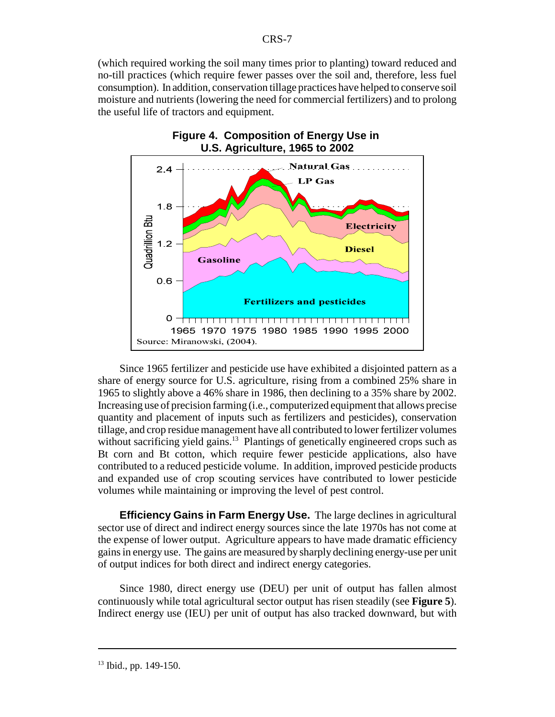(which required working the soil many times prior to planting) toward reduced and no-till practices (which require fewer passes over the soil and, therefore, less fuel consumption). In addition, conservation tillage practices have helped to conserve soil moisture and nutrients (lowering the need for commercial fertilizers) and to prolong the useful life of tractors and equipment.



**Figure 4. Composition of Energy Use in U.S. Agriculture, 1965 to 2002**

Since 1965 fertilizer and pesticide use have exhibited a disjointed pattern as a share of energy source for U.S. agriculture, rising from a combined 25% share in 1965 to slightly above a 46% share in 1986, then declining to a 35% share by 2002. Increasing use of precision farming (i.e., computerized equipment that allows precise quantity and placement of inputs such as fertilizers and pesticides), conservation tillage, and crop residue management have all contributed to lower fertilizer volumes without sacrificing yield gains.<sup>13</sup> Plantings of genetically engineered crops such as Bt corn and Bt cotton, which require fewer pesticide applications, also have contributed to a reduced pesticide volume. In addition, improved pesticide products and expanded use of crop scouting services have contributed to lower pesticide volumes while maintaining or improving the level of pest control.

**Efficiency Gains in Farm Energy Use.** The large declines in agricultural sector use of direct and indirect energy sources since the late 1970s has not come at the expense of lower output. Agriculture appears to have made dramatic efficiency gains in energy use. The gains are measured by sharply declining energy-use per unit of output indices for both direct and indirect energy categories.

Since 1980, direct energy use (DEU) per unit of output has fallen almost continuously while total agricultural sector output has risen steadily (see **Figure 5**). Indirect energy use (IEU) per unit of output has also tracked downward, but with

 $13$  Ibid., pp. 149-150.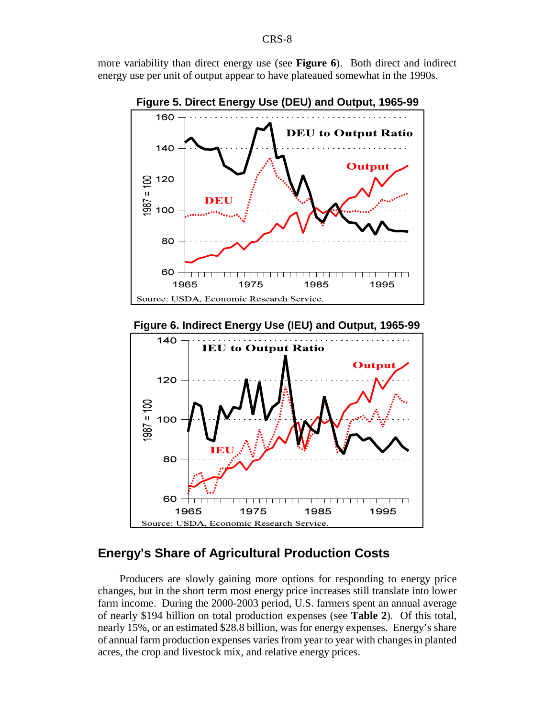more variability than direct energy use (see **Figure 6**). Both direct and indirect energy use per unit of output appear to have plateaued somewhat in the 1990s.



**Figure 6. Indirect Energy Use (IEU) and Output, 1965-99**



# **Energy's Share of Agricultural Production Costs**

Producers are slowly gaining more options for responding to energy price changes, but in the short term most energy price increases still translate into lower farm income. During the 2000-2003 period, U.S. farmers spent an annual average of nearly \$194 billion on total production expenses (see **Table 2**). Of this total, nearly 15%, or an estimated \$28.8 billion, was for energy expenses. Energy's share of annual farm production expenses varies from year to year with changes in planted acres, the crop and livestock mix, and relative energy prices.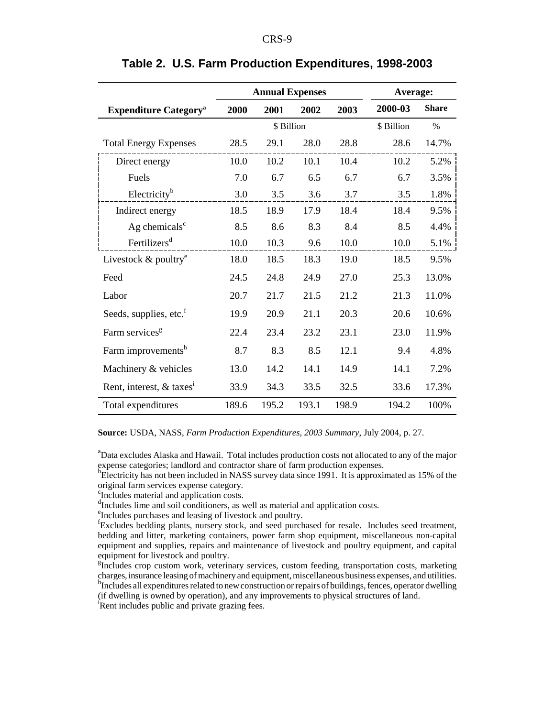|                                          | <b>Annual Expenses</b> |            |       |       | Average:   |              |
|------------------------------------------|------------------------|------------|-------|-------|------------|--------------|
| <b>Expenditure Category</b> <sup>a</sup> | 2000                   | 2001       | 2002  | 2003  | 2000-03    | <b>Share</b> |
|                                          |                        | \$ Billion |       |       | \$ Billion | $\%$         |
| <b>Total Energy Expenses</b>             | 28.5                   | 29.1       | 28.0  | 28.8  | 28.6       | 14.7%        |
| Direct energy                            | 10.0                   | 10.2       | 10.1  | 10.4  | 10.2       | 5.2%         |
| Fuels                                    | 7.0                    | 6.7        | 6.5   | 6.7   | 6.7        | 3.5%         |
| Electricity <sup>b</sup>                 | 3.0                    | 3.5        | 3.6   | 3.7   | 3.5        | 1.8%         |
| Indirect energy                          | 18.5                   | 18.9       | 17.9  | 18.4  | 18.4       | 9.5%         |
| Ag chemicals $c$                         | 8.5                    | 8.6        | 8.3   | 8.4   | 8.5        | 4.4%         |
| Fertilizers <sup>d</sup>                 | 10.0                   | 10.3       | 9.6   | 10.0  | 10.0       | 5.1%         |
| Livestock $&$ poultry <sup>e</sup>       | 18.0                   | 18.5       | 18.3  | 19.0  | 18.5       | 9.5%         |
| Feed                                     | 24.5                   | 24.8       | 24.9  | 27.0  | 25.3       | 13.0%        |
| Labor                                    | 20.7                   | 21.7       | 21.5  | 21.2  | 21.3       | 11.0%        |
| Seeds, supplies, etc. <sup>f</sup>       | 19.9                   | 20.9       | 21.1  | 20.3  | 20.6       | 10.6%        |
| Farm services <sup>g</sup>               | 22.4                   | 23.4       | 23.2  | 23.1  | 23.0       | 11.9%        |
| Farm improvements <sup>h</sup>           | 8.7                    | 8.3        | 8.5   | 12.1  | 9.4        | 4.8%         |
| Machinery & vehicles                     | 13.0                   | 14.2       | 14.1  | 14.9  | 14.1       | 7.2%         |
| Rent, interest, & taxes <sup>i</sup>     | 33.9                   | 34.3       | 33.5  | 32.5  | 33.6       | 17.3%        |
| Total expenditures                       | 189.6                  | 195.2      | 193.1 | 198.9 | 194.2      | 100%         |

#### **Table 2. U.S. Farm Production Expenditures, 1998-2003**

**Source:** USDA, NASS, *Farm Production Expenditures, 2003 Summary*, July 2004, p. 27.

<sup>a</sup>Data excludes Alaska and Hawaii. Total includes production costs not allocated to any of the major expense categories; landlord and contractor share of farm production expenses.

<sup>b</sup>Electricity has not been included in NASS survey data since 1991. It is approximated as 15% of the original farm services expense category.

<sup>c</sup>Includes material and application costs.

<sup>d</sup>Includes lime and soil conditioners, as well as material and application costs.

e Includes purchases and leasing of livestock and poultry.

<sup>f</sup>Excludes bedding plants, nursery stock, and seed purchased for resale. Includes seed treatment, bedding and litter, marketing containers, power farm shop equipment, miscellaneous non-capital equipment and supplies, repairs and maintenance of livestock and poultry equipment, and capital equipment for livestock and poultry.

<sup>g</sup>Includes crop custom work, veterinary services, custom feeding, transportation costs, marketing charges, insurance leasing of machinery and equipment, miscellaneous business expenses, and utilities. h Includes all expenditures related to new construction or repairs of buildings, fences, operator dwelling

(if dwelling is owned by operation), and any improvements to physical structures of land.

<sup>i</sup>Rent includes public and private grazing fees.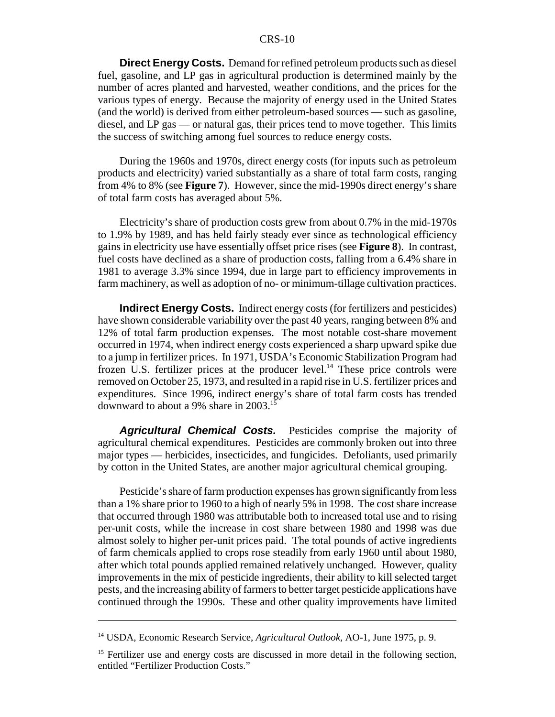**Direct Energy Costs.** Demand for refined petroleum products such as diesel fuel, gasoline, and LP gas in agricultural production is determined mainly by the number of acres planted and harvested, weather conditions, and the prices for the various types of energy. Because the majority of energy used in the United States (and the world) is derived from either petroleum-based sources — such as gasoline, diesel, and LP gas — or natural gas, their prices tend to move together. This limits the success of switching among fuel sources to reduce energy costs.

During the 1960s and 1970s, direct energy costs (for inputs such as petroleum products and electricity) varied substantially as a share of total farm costs, ranging from 4% to 8% (see **Figure 7**). However, since the mid-1990s direct energy's share of total farm costs has averaged about 5%.

Electricity's share of production costs grew from about 0.7% in the mid-1970s to 1.9% by 1989, and has held fairly steady ever since as technological efficiency gains in electricity use have essentially offset price rises (see **Figure 8**). In contrast, fuel costs have declined as a share of production costs, falling from a 6.4% share in 1981 to average 3.3% since 1994, due in large part to efficiency improvements in farm machinery, as well as adoption of no- or minimum-tillage cultivation practices.

**Indirect Energy Costs.** Indirect energy costs (for fertilizers and pesticides) have shown considerable variability over the past 40 years, ranging between 8% and 12% of total farm production expenses. The most notable cost-share movement occurred in 1974, when indirect energy costs experienced a sharp upward spike due to a jump in fertilizer prices. In 1971, USDA's Economic Stabilization Program had frozen U.S. fertilizer prices at the producer level.<sup>14</sup> These price controls were removed on October 25, 1973, and resulted in a rapid rise in U.S. fertilizer prices and expenditures. Since 1996, indirect energy's share of total farm costs has trended downward to about a 9% share in 2003.15

*Agricultural Chemical Costs.* Pesticides comprise the majority of agricultural chemical expenditures. Pesticides are commonly broken out into three major types — herbicides, insecticides, and fungicides. Defoliants, used primarily by cotton in the United States, are another major agricultural chemical grouping.

Pesticide's share of farm production expenses has grown significantly from less than a 1% share prior to 1960 to a high of nearly 5% in 1998. The cost share increase that occurred through 1980 was attributable both to increased total use and to rising per-unit costs, while the increase in cost share between 1980 and 1998 was due almost solely to higher per-unit prices paid. The total pounds of active ingredients of farm chemicals applied to crops rose steadily from early 1960 until about 1980, after which total pounds applied remained relatively unchanged. However, quality improvements in the mix of pesticide ingredients, their ability to kill selected target pests, and the increasing ability of farmers to better target pesticide applications have continued through the 1990s. These and other quality improvements have limited

<sup>14</sup> USDA, Economic Research Service, *Agricultural Outlook*, AO-1, June 1975, p. 9.

<sup>&</sup>lt;sup>15</sup> Fertilizer use and energy costs are discussed in more detail in the following section, entitled "Fertilizer Production Costs."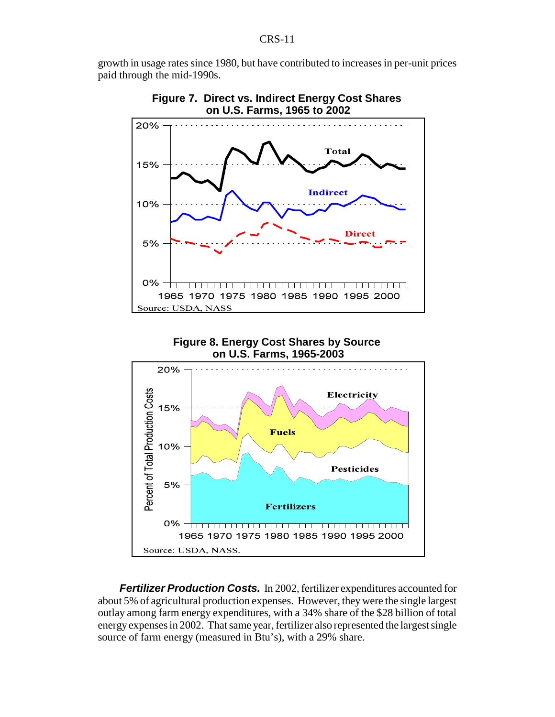growth in usage rates since 1980, but have contributed to increases in per-unit prices paid through the mid-1990s.





**Figure 8. Energy Cost Shares by Source on U.S. Farms, 1965-2003**



*Fertilizer Production Costs.* In 2002, fertilizer expenditures accounted for about 5% of agricultural production expenses. However, they were the single largest outlay among farm energy expenditures, with a 34% share of the \$28 billion of total energy expenses in 2002. That same year, fertilizer also represented the largest single source of farm energy (measured in Btu's), with a 29% share.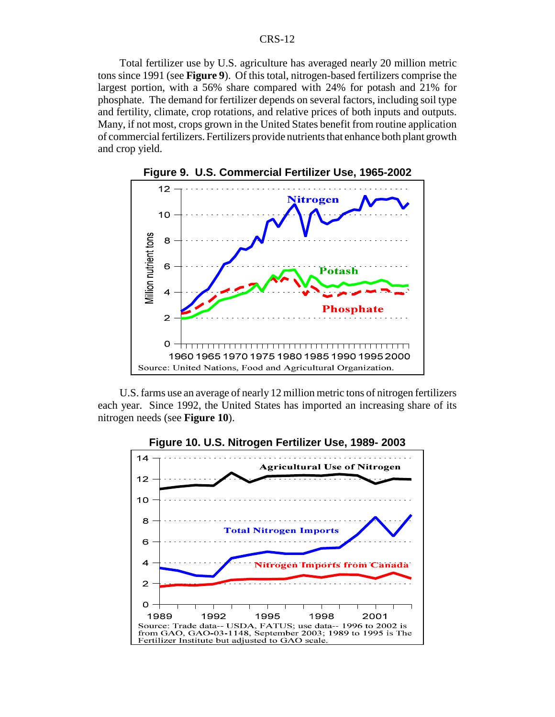Total fertilizer use by U.S. agriculture has averaged nearly 20 million metric tons since 1991 (see **Figure 9**). Of this total, nitrogen-based fertilizers comprise the largest portion, with a 56% share compared with 24% for potash and 21% for phosphate. The demand for fertilizer depends on several factors, including soil type and fertility, climate, crop rotations, and relative prices of both inputs and outputs. Many, if not most, crops grown in the United States benefit from routine application of commercial fertilizers. Fertilizers provide nutrients that enhance both plant growth and crop yield.





U.S. farms use an average of nearly 12 million metric tons of nitrogen fertilizers each year. Since 1992, the United States has imported an increasing share of its nitrogen needs (see **Figure 10**).

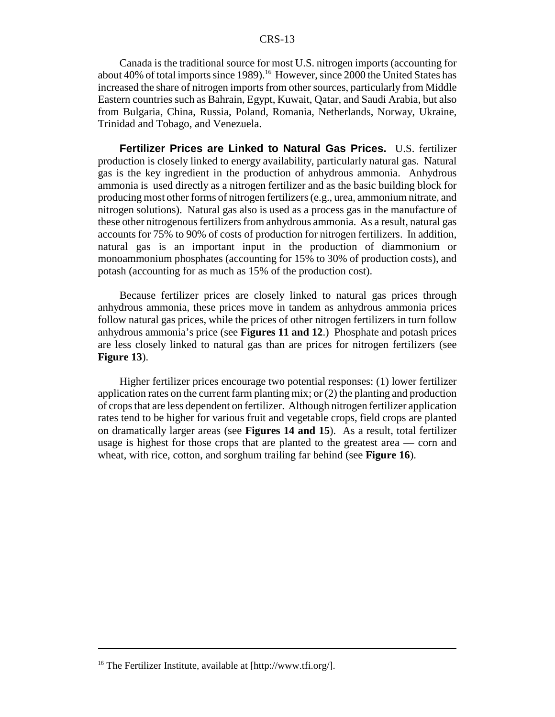Canada is the traditional source for most U.S. nitrogen imports (accounting for about 40% of total imports since 1989).<sup>16</sup> However, since 2000 the United States has increased the share of nitrogen imports from other sources, particularly from Middle Eastern countries such as Bahrain, Egypt, Kuwait, Qatar, and Saudi Arabia, but also from Bulgaria, China, Russia, Poland, Romania, Netherlands, Norway, Ukraine, Trinidad and Tobago, and Venezuela.

**Fertilizer Prices are Linked to Natural Gas Prices.** U.S. fertilizer production is closely linked to energy availability, particularly natural gas. Natural gas is the key ingredient in the production of anhydrous ammonia. Anhydrous ammonia is used directly as a nitrogen fertilizer and as the basic building block for producing most other forms of nitrogen fertilizers (e.g., urea, ammonium nitrate, and nitrogen solutions). Natural gas also is used as a process gas in the manufacture of these other nitrogenous fertilizers from anhydrous ammonia. As a result, natural gas accounts for 75% to 90% of costs of production for nitrogen fertilizers. In addition, natural gas is an important input in the production of diammonium or monoammonium phosphates (accounting for 15% to 30% of production costs), and potash (accounting for as much as 15% of the production cost).

Because fertilizer prices are closely linked to natural gas prices through anhydrous ammonia, these prices move in tandem as anhydrous ammonia prices follow natural gas prices, while the prices of other nitrogen fertilizers in turn follow anhydrous ammonia's price (see **Figures 11 and 12**.) Phosphate and potash prices are less closely linked to natural gas than are prices for nitrogen fertilizers (see **Figure 13**).

Higher fertilizer prices encourage two potential responses: (1) lower fertilizer application rates on the current farm planting mix; or (2) the planting and production of crops that are less dependent on fertilizer. Although nitrogen fertilizer application rates tend to be higher for various fruit and vegetable crops, field crops are planted on dramatically larger areas (see **Figures 14 and 15**). As a result, total fertilizer usage is highest for those crops that are planted to the greatest area — corn and wheat, with rice, cotton, and sorghum trailing far behind (see **Figure 16**).

<sup>16</sup> The Fertilizer Institute, available at [http://www.tfi.org/].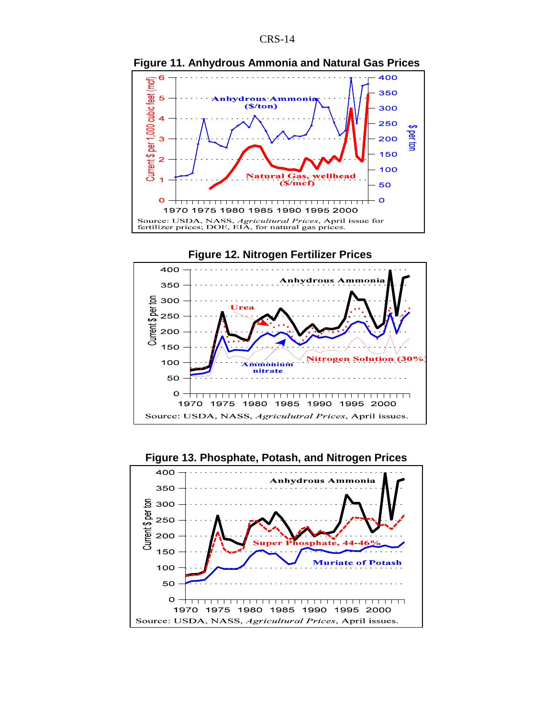

**Figure 11. Anhydrous Ammonia and Natural Gas Prices** 



**Figure 13. Phosphate, Potash, and Nitrogen Prices**

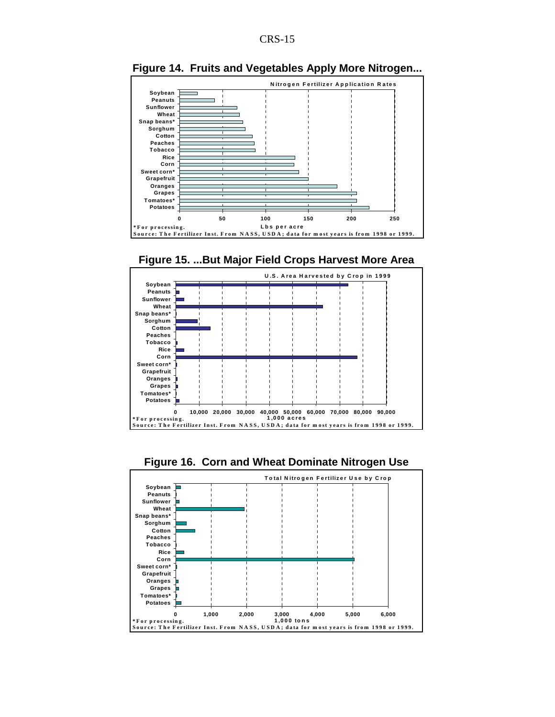

**Figure 14. Fruits and Vegetables Apply More Nitrogen...**







**Figure 16. Corn and Wheat Dominate Nitrogen Use**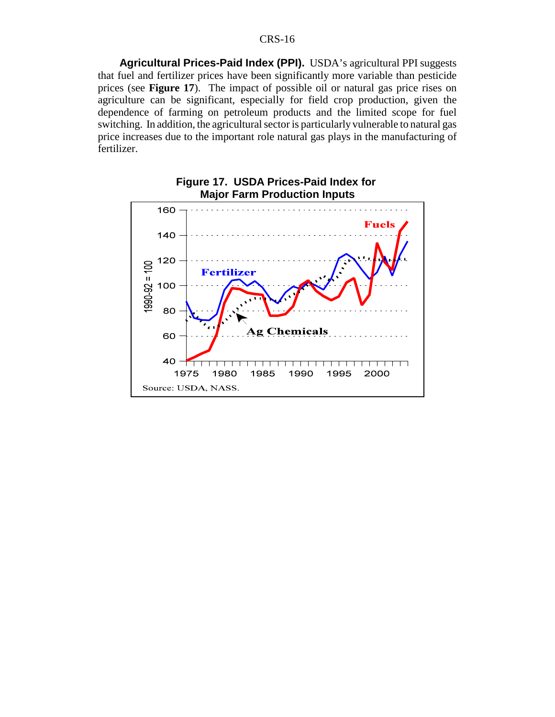**Agricultural Prices-Paid Index (PPI).** USDA's agricultural PPI suggests that fuel and fertilizer prices have been significantly more variable than pesticide prices (see **Figure 17**). The impact of possible oil or natural gas price rises on agriculture can be significant, especially for field crop production, given the dependence of farming on petroleum products and the limited scope for fuel switching. In addition, the agricultural sector is particularly vulnerable to natural gas price increases due to the important role natural gas plays in the manufacturing of fertilizer.

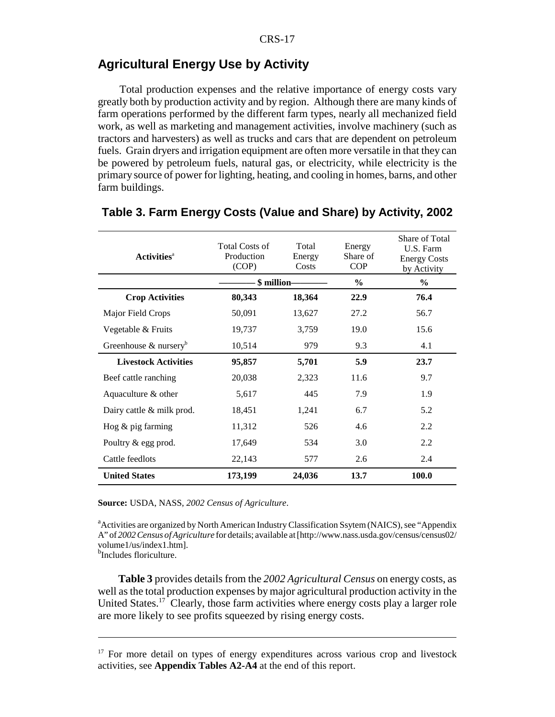# **Agricultural Energy Use by Activity**

Total production expenses and the relative importance of energy costs vary greatly both by production activity and by region. Although there are many kinds of farm operations performed by the different farm types, nearly all mechanized field work, as well as marketing and management activities, involve machinery (such as tractors and harvesters) as well as trucks and cars that are dependent on petroleum fuels. Grain dryers and irrigation equipment are often more versatile in that they can be powered by petroleum fuels, natural gas, or electricity, while electricity is the primary source of power for lighting, heating, and cooling in homes, barns, and other farm buildings.

| <b>Activities</b> <sup>a</sup>       | <b>Total Costs of</b><br>Production<br>(COP) | Total<br>Energy<br>Costs | Energy<br>Share of<br><b>COP</b> | Share of Total<br>U.S. Farm<br><b>Energy Costs</b><br>by Activity |
|--------------------------------------|----------------------------------------------|--------------------------|----------------------------------|-------------------------------------------------------------------|
|                                      | \$ million-                                  |                          | $\frac{6}{6}$                    | $\frac{0}{0}$                                                     |
| <b>Crop Activities</b>               | 80,343                                       | 18,364                   | 22.9                             | 76.4                                                              |
| Major Field Crops                    | 50,091                                       | 13,627                   | 27.2                             | 56.7                                                              |
| Vegetable & Fruits                   | 19,737                                       | 3,759                    | 19.0                             | 15.6                                                              |
| Greenhouse $\&$ nursery <sup>b</sup> | 10,514                                       | 979                      | 9.3                              | 4.1                                                               |
| <b>Livestock Activities</b>          | 95,857                                       | 5,701                    | 5.9                              | 23.7                                                              |
| Beef cattle ranching                 | 20,038                                       | 2,323                    | 11.6                             | 9.7                                                               |
| Aquaculture & other                  | 5,617                                        | 445                      | 7.9                              | 1.9                                                               |
| Dairy cattle & milk prod.            | 18,451                                       | 1,241                    | 6.7                              | 5.2                                                               |
| Hog $\&$ pig farming                 | 11,312                                       | 526                      | 4.6                              | 2.2                                                               |
| Poultry & egg prod.                  | 17,649                                       | 534                      | 3.0                              | 2.2                                                               |
| Cattle feedlots                      | 22,143                                       | 577                      | 2.6                              | 2.4                                                               |
| <b>United States</b>                 | 173,199                                      | 24,036                   | 13.7                             | 100.0                                                             |

#### **Table 3. Farm Energy Costs (Value and Share) by Activity, 2002**

**Source:** USDA, NASS, *2002 Census of Agriculture*.

<sup>a</sup> Activities are organized by North American Industry Classification Ssytem (NAICS), see "Appendix A" of *2002 Census of Agriculture* for details; available at [http://www.nass.usda.gov/census/census02/ volume1/us/index1.htm].

<sup>b</sup>Includes floriculture.

**Table 3** provides details from the *2002 Agricultural Census* on energy costs, as well as the total production expenses by major agricultural production activity in the United States.<sup>17</sup> Clearly, those farm activities where energy costs play a larger role are more likely to see profits squeezed by rising energy costs.

<sup>&</sup>lt;sup>17</sup> For more detail on types of energy expenditures across various crop and livestock activities, see **Appendix Tables A2-A4** at the end of this report.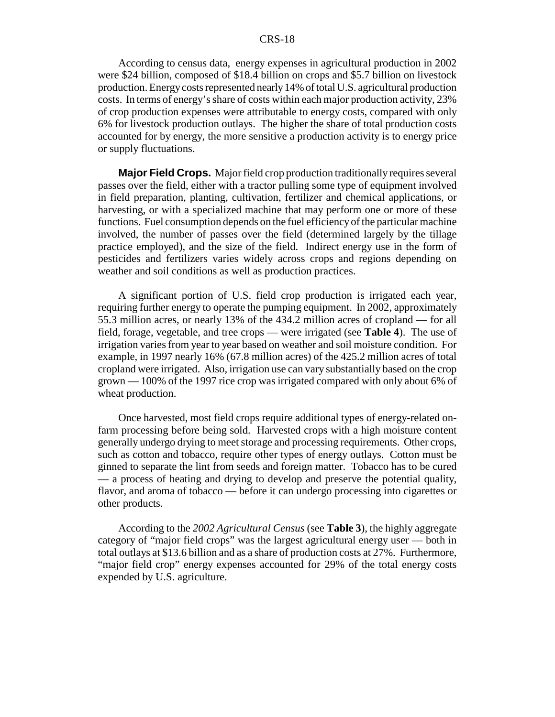According to census data, energy expenses in agricultural production in 2002 were \$24 billion, composed of \$18.4 billion on crops and \$5.7 billion on livestock production. Energy costs represented nearly 14% of total U.S. agricultural production costs. In terms of energy's share of costs within each major production activity, 23% of crop production expenses were attributable to energy costs, compared with only 6% for livestock production outlays. The higher the share of total production costs accounted for by energy, the more sensitive a production activity is to energy price or supply fluctuations.

**Major Field Crops.** Major field crop production traditionally requires several passes over the field, either with a tractor pulling some type of equipment involved in field preparation, planting, cultivation, fertilizer and chemical applications, or harvesting, or with a specialized machine that may perform one or more of these functions. Fuel consumption depends on the fuel efficiency of the particular machine involved, the number of passes over the field (determined largely by the tillage practice employed), and the size of the field. Indirect energy use in the form of pesticides and fertilizers varies widely across crops and regions depending on weather and soil conditions as well as production practices.

A significant portion of U.S. field crop production is irrigated each year, requiring further energy to operate the pumping equipment. In 2002, approximately 55.3 million acres, or nearly 13% of the 434.2 million acres of cropland — for all field, forage, vegetable, and tree crops — were irrigated (see **Table 4**). The use of irrigation varies from year to year based on weather and soil moisture condition. For example, in 1997 nearly 16% (67.8 million acres) of the 425.2 million acres of total cropland were irrigated. Also, irrigation use can vary substantially based on the crop grown — 100% of the 1997 rice crop was irrigated compared with only about 6% of wheat production.

Once harvested, most field crops require additional types of energy-related onfarm processing before being sold. Harvested crops with a high moisture content generally undergo drying to meet storage and processing requirements. Other crops, such as cotton and tobacco, require other types of energy outlays. Cotton must be ginned to separate the lint from seeds and foreign matter. Tobacco has to be cured — a process of heating and drying to develop and preserve the potential quality, flavor, and aroma of tobacco — before it can undergo processing into cigarettes or other products.

According to the *2002 Agricultural Census* (see **Table 3**), the highly aggregate category of "major field crops" was the largest agricultural energy user — both in total outlays at \$13.6 billion and as a share of production costs at 27%. Furthermore, "major field crop" energy expenses accounted for 29% of the total energy costs expended by U.S. agriculture.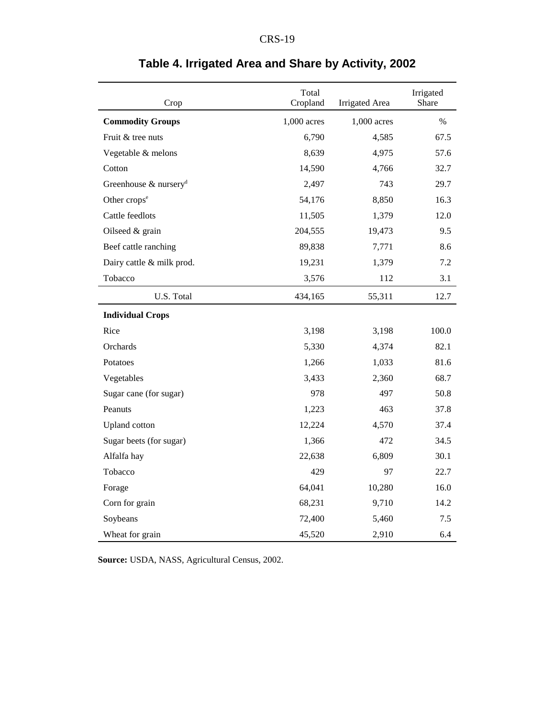| Crop                              | Total<br>Cropland | <b>Irrigated</b> Area | Irrigated<br>Share |
|-----------------------------------|-------------------|-----------------------|--------------------|
| <b>Commodity Groups</b>           | 1,000 acres       | 1,000 acres           | $\%$               |
| Fruit & tree nuts                 | 6,790             | 4,585                 | 67.5               |
| Vegetable & melons                | 8,639             | 4,975                 | 57.6               |
| Cotton                            | 14,590            | 4,766                 | 32.7               |
| Greenhouse & nursery <sup>d</sup> | 2,497             | 743                   | 29.7               |
| Other crops <sup>e</sup>          | 54,176            | 8,850                 | 16.3               |
| Cattle feedlots                   | 11,505            | 1,379                 | 12.0               |
| Oilseed & grain                   | 204,555           | 19,473                | 9.5                |
| Beef cattle ranching              | 89,838            | 7,771                 | 8.6                |
| Dairy cattle & milk prod.         | 19,231            | 1,379                 | 7.2                |
| Tobacco                           | 3,576             | 112                   | 3.1                |
| U.S. Total                        | 434,165           | 55,311                | 12.7               |
| <b>Individual Crops</b>           |                   |                       |                    |
| Rice                              | 3,198             | 3,198                 | 100.0              |
| Orchards                          | 5,330             | 4,374                 | 82.1               |
| Potatoes                          | 1,266             | 1,033                 | 81.6               |
| Vegetables                        | 3,433             | 2,360                 | 68.7               |
| Sugar cane (for sugar)            | 978               | 497                   | 50.8               |
| Peanuts                           | 1,223             | 463                   | 37.8               |
| <b>Upland</b> cotton              | 12,224            | 4,570                 | 37.4               |
| Sugar beets (for sugar)           | 1,366             | 472                   | 34.5               |
| Alfalfa hay                       | 22,638            | 6,809                 | 30.1               |
| Tobacco                           | 429               | 97                    | 22.7               |
| Forage                            | 64,041            | 10,280                | 16.0               |
| Corn for grain                    | 68,231            | 9,710                 | 14.2               |
| Soybeans                          | 72,400            | 5,460                 | 7.5                |
| Wheat for grain                   | 45,520            | 2,910                 | 6.4                |

# **Table 4. Irrigated Area and Share by Activity, 2002**

**Source:** USDA, NASS, Agricultural Census, 2002.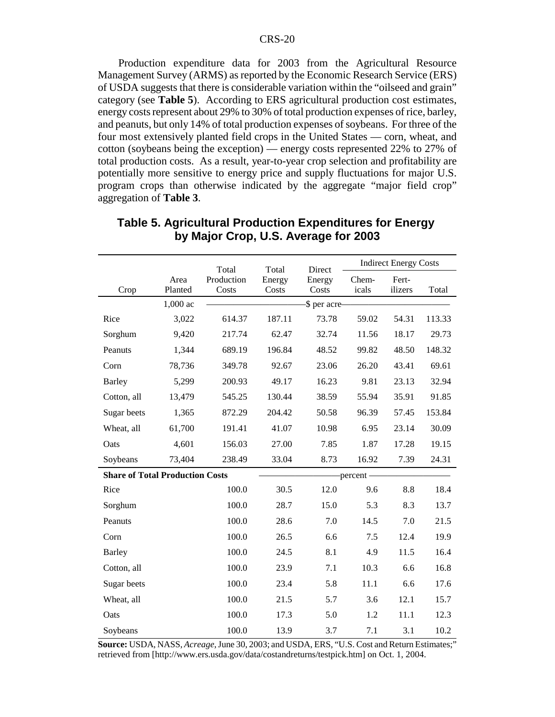Production expenditure data for 2003 from the Agricultural Resource Management Survey (ARMS) as reported by the Economic Research Service (ERS) of USDA suggests that there is considerable variation within the "oilseed and grain" category (see **Table 5**). According to ERS agricultural production cost estimates, energy costs represent about 29% to 30% of total production expenses of rice, barley, and peanuts, but only 14% of total production expenses of soybeans. For three of the four most extensively planted field crops in the United States — corn, wheat, and cotton (soybeans being the exception) — energy costs represented 22% to 27% of total production costs. As a result, year-to-year crop selection and profitability are potentially more sensitive to energy price and supply fluctuations for major U.S. program crops than otherwise indicated by the aggregate "major field crop" aggregation of **Table 3**.

|                                        |            | <b>Indirect Energy Costs</b><br>Total<br>Total<br>Direct |        |              |            |         |        |
|----------------------------------------|------------|----------------------------------------------------------|--------|--------------|------------|---------|--------|
|                                        | Area       | Production                                               | Energy | Energy       | Chem-      | Fert-   |        |
| Crop                                   | Planted    | Costs                                                    | Costs  | Costs        | icals      | ilizers | Total  |
|                                        | $1,000$ ac |                                                          |        | \$ per acre- |            |         |        |
| Rice                                   | 3,022      | 614.37                                                   | 187.11 | 73.78        | 59.02      | 54.31   | 113.33 |
| Sorghum                                | 9,420      | 217.74                                                   | 62.47  | 32.74        | 11.56      | 18.17   | 29.73  |
| Peanuts                                | 1,344      | 689.19                                                   | 196.84 | 48.52        | 99.82      | 48.50   | 148.32 |
| Corn                                   | 78,736     | 349.78                                                   | 92.67  | 23.06        | 26.20      | 43.41   | 69.61  |
| <b>Barley</b>                          | 5,299      | 200.93                                                   | 49.17  | 16.23        | 9.81       | 23.13   | 32.94  |
| Cotton, all                            | 13,479     | 545.25                                                   | 130.44 | 38.59        | 55.94      | 35.91   | 91.85  |
| Sugar beets                            | 1,365      | 872.29                                                   | 204.42 | 50.58        | 96.39      | 57.45   | 153.84 |
| Wheat, all                             | 61,700     | 191.41                                                   | 41.07  | 10.98        | 6.95       | 23.14   | 30.09  |
| Oats                                   | 4,601      | 156.03                                                   | 27.00  | 7.85         | 1.87       | 17.28   | 19.15  |
| Soybeans                               | 73,404     | 238.49                                                   | 33.04  | 8.73         | 16.92      | 7.39    | 24.31  |
| <b>Share of Total Production Costs</b> |            |                                                          |        |              | -percent - |         |        |
| Rice                                   |            | 100.0                                                    | 30.5   | 12.0         | 9.6        | 8.8     | 18.4   |
| Sorghum                                |            | 100.0                                                    | 28.7   | 15.0         | 5.3        | 8.3     | 13.7   |
| Peanuts                                |            | 100.0                                                    | 28.6   | 7.0          | 14.5       | 7.0     | 21.5   |
| Corn                                   |            | 100.0                                                    | 26.5   | 6.6          | 7.5        | 12.4    | 19.9   |
| <b>Barley</b>                          |            | 100.0                                                    | 24.5   | 8.1          | 4.9        | 11.5    | 16.4   |
| Cotton, all                            |            | 100.0                                                    | 23.9   | 7.1          | 10.3       | 6.6     | 16.8   |
| Sugar beets                            |            | 100.0                                                    | 23.4   | 5.8          | 11.1       | 6.6     | 17.6   |
| Wheat, all                             |            | 100.0                                                    | 21.5   | 5.7          | 3.6        | 12.1    | 15.7   |
| Oats                                   |            | 100.0                                                    | 17.3   | 5.0          | 1.2        | 11.1    | 12.3   |
| Soybeans                               |            | 100.0                                                    | 13.9   | 3.7          | 7.1        | 3.1     | 10.2   |

### **Table 5. Agricultural Production Expenditures for Energy by Major Crop, U.S. Average for 2003**

**Source:** USDA, NASS, *Acreage*, June 30, 2003; and USDA, ERS, "U.S. Cost and Return Estimates;" retrieved from [http://www.ers.usda.gov/data/costandreturns/testpick.htm] on Oct. 1, 2004.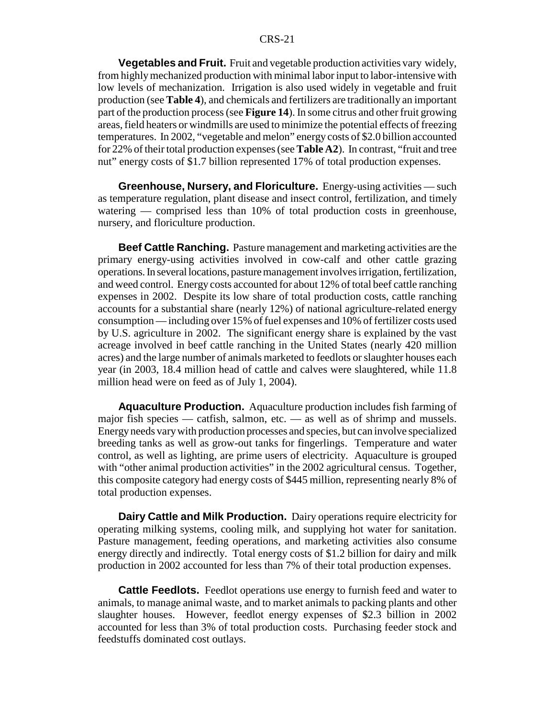**Vegetables and Fruit.** Fruit and vegetable production activities vary widely, from highly mechanized production with minimal labor input to labor-intensive with low levels of mechanization. Irrigation is also used widely in vegetable and fruit production (see **Table 4**), and chemicals and fertilizers are traditionally an important part of the production process (see **Figure 14**). In some citrus and other fruit growing areas, field heaters or windmills are used to minimize the potential effects of freezing temperatures. In 2002, "vegetable and melon" energy costs of \$2.0 billion accounted for 22% of their total production expenses (see **Table A2**). In contrast, "fruit and tree nut" energy costs of \$1.7 billion represented 17% of total production expenses.

**Greenhouse, Nursery, and Floriculture.** Energy-using activities — such as temperature regulation, plant disease and insect control, fertilization, and timely watering — comprised less than 10% of total production costs in greenhouse, nursery, and floriculture production.

**Beef Cattle Ranching.** Pasture management and marketing activities are the primary energy-using activities involved in cow-calf and other cattle grazing operations. In several locations, pasture management involves irrigation, fertilization, and weed control. Energy costs accounted for about 12% of total beef cattle ranching expenses in 2002. Despite its low share of total production costs, cattle ranching accounts for a substantial share (nearly 12%) of national agriculture-related energy consumption — including over 15% of fuel expenses and 10% of fertilizer costs used by U.S. agriculture in 2002. The significant energy share is explained by the vast acreage involved in beef cattle ranching in the United States (nearly 420 million acres) and the large number of animals marketed to feedlots or slaughter houses each year (in 2003, 18.4 million head of cattle and calves were slaughtered, while 11.8 million head were on feed as of July 1, 2004).

**Aquaculture Production.** Aquaculture production includes fish farming of major fish species — catfish, salmon, etc. — as well as of shrimp and mussels. Energy needs vary with production processes and species, but can involve specialized breeding tanks as well as grow-out tanks for fingerlings. Temperature and water control, as well as lighting, are prime users of electricity. Aquaculture is grouped with "other animal production activities" in the 2002 agricultural census. Together, this composite category had energy costs of \$445 million, representing nearly 8% of total production expenses.

**Dairy Cattle and Milk Production.** Dairy operations require electricity for operating milking systems, cooling milk, and supplying hot water for sanitation. Pasture management, feeding operations, and marketing activities also consume energy directly and indirectly. Total energy costs of \$1.2 billion for dairy and milk production in 2002 accounted for less than 7% of their total production expenses.

**Cattle Feedlots.** Feedlot operations use energy to furnish feed and water to animals, to manage animal waste, and to market animals to packing plants and other slaughter houses. However, feedlot energy expenses of \$2.3 billion in 2002 accounted for less than 3% of total production costs. Purchasing feeder stock and feedstuffs dominated cost outlays.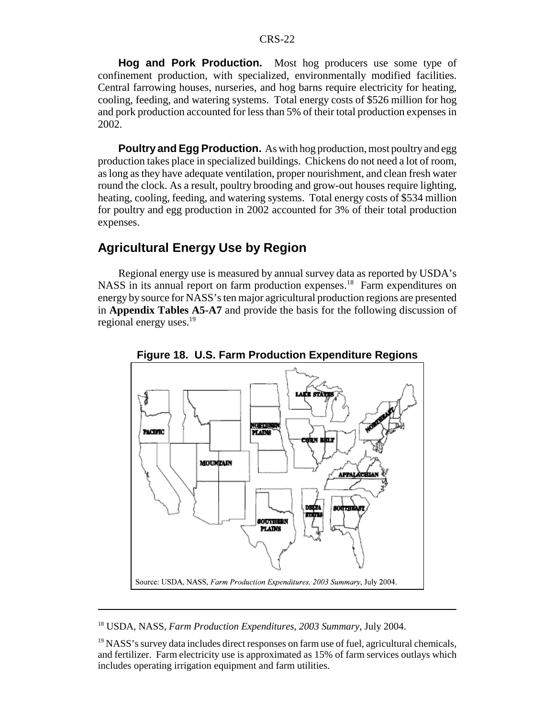**Hog and Pork Production.** Most hog producers use some type of confinement production, with specialized, environmentally modified facilities. Central farrowing houses, nurseries, and hog barns require electricity for heating, cooling, feeding, and watering systems. Total energy costs of \$526 million for hog and pork production accounted for less than 5% of their total production expenses in 2002.

**Poultry and Egg Production.** As with hog production, most poultry and egg production takes place in specialized buildings. Chickens do not need a lot of room, as long as they have adequate ventilation, proper nourishment, and clean fresh water round the clock. As a result, poultry brooding and grow-out houses require lighting, heating, cooling, feeding, and watering systems. Total energy costs of \$534 million for poultry and egg production in 2002 accounted for 3% of their total production expenses.

# **Agricultural Energy Use by Region**

Regional energy use is measured by annual survey data as reported by USDA's NASS in its annual report on farm production expenses.<sup>18</sup> Farm expenditures on energy by source for NASS's ten major agricultural production regions are presented in **Appendix Tables A5-A7** and provide the basis for the following discussion of regional energy uses.<sup>19</sup>



**Figure 18. U.S. Farm Production Expenditure Regions**

<sup>18</sup> USDA, NASS, *Farm Production Expenditures, 2003 Summary*, July 2004.

 $<sup>19</sup>$  NASS's survey data includes direct responses on farm use of fuel, agricultural chemicals,</sup> and fertilizer. Farm electricity use is approximated as 15% of farm services outlays which includes operating irrigation equipment and farm utilities.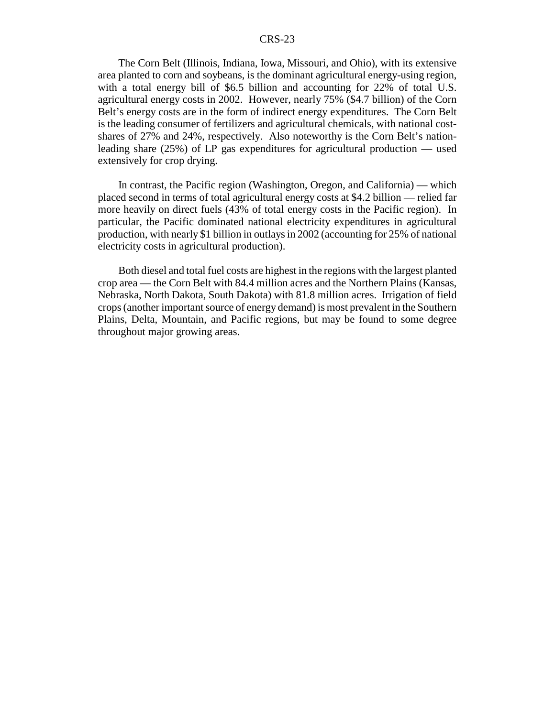The Corn Belt (Illinois, Indiana, Iowa, Missouri, and Ohio), with its extensive area planted to corn and soybeans, is the dominant agricultural energy-using region, with a total energy bill of \$6.5 billion and accounting for 22% of total U.S. agricultural energy costs in 2002. However, nearly 75% (\$4.7 billion) of the Corn Belt's energy costs are in the form of indirect energy expenditures. The Corn Belt is the leading consumer of fertilizers and agricultural chemicals, with national costshares of 27% and 24%, respectively. Also noteworthy is the Corn Belt's nationleading share (25%) of LP gas expenditures for agricultural production — used extensively for crop drying.

In contrast, the Pacific region (Washington, Oregon, and California) — which placed second in terms of total agricultural energy costs at \$4.2 billion — relied far more heavily on direct fuels (43% of total energy costs in the Pacific region). In particular, the Pacific dominated national electricity expenditures in agricultural production, with nearly \$1 billion in outlays in 2002 (accounting for 25% of national electricity costs in agricultural production).

Both diesel and total fuel costs are highest in the regions with the largest planted crop area — the Corn Belt with 84.4 million acres and the Northern Plains (Kansas, Nebraska, North Dakota, South Dakota) with 81.8 million acres. Irrigation of field crops (another important source of energy demand) is most prevalent in the Southern Plains, Delta, Mountain, and Pacific regions, but may be found to some degree throughout major growing areas.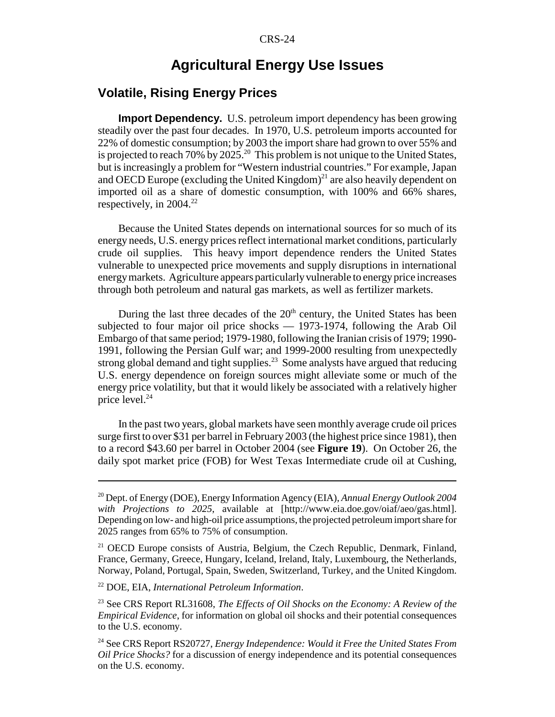# **Agricultural Energy Use Issues**

# **Volatile, Rising Energy Prices**

**Import Dependency.** U.S. petroleum import dependency has been growing steadily over the past four decades. In 1970, U.S. petroleum imports accounted for 22% of domestic consumption; by 2003 the import share had grown to over 55% and is projected to reach 70% by 2025.20 This problem is not unique to the United States, but is increasingly a problem for "Western industrial countries." For example, Japan and OECD Europe (excluding the United Kingdom)<sup>21</sup> are also heavily dependent on imported oil as a share of domestic consumption, with 100% and 66% shares, respectively, in 2004.<sup>22</sup>

Because the United States depends on international sources for so much of its energy needs, U.S. energy prices reflect international market conditions, particularly crude oil supplies. This heavy import dependence renders the United States vulnerable to unexpected price movements and supply disruptions in international energy markets. Agriculture appears particularly vulnerable to energy price increases through both petroleum and natural gas markets, as well as fertilizer markets.

During the last three decades of the  $20<sup>th</sup>$  century, the United States has been subjected to four major oil price shocks — 1973-1974, following the Arab Oil Embargo of that same period; 1979-1980, following the Iranian crisis of 1979; 1990- 1991, following the Persian Gulf war; and 1999-2000 resulting from unexpectedly strong global demand and tight supplies.<sup>23</sup> Some analysts have argued that reducing U.S. energy dependence on foreign sources might alleviate some or much of the energy price volatility, but that it would likely be associated with a relatively higher price level.<sup>24</sup>

In the past two years, global markets have seen monthly average crude oil prices surge first to over \$31 per barrel in February 2003 (the highest price since 1981), then to a record \$43.60 per barrel in October 2004 (see **Figure 19**). On October 26, the daily spot market price (FOB) for West Texas Intermediate crude oil at Cushing,

<sup>20</sup> Dept. of Energy (DOE), Energy Information Agency (EIA), *Annual Energy Outlook 2004 with Projections to 2025*, available at [http://www.eia.doe.gov/oiaf/aeo/gas.html]. Depending on low- and high-oil price assumptions, the projected petroleum import share for 2025 ranges from 65% to 75% of consumption.

<sup>&</sup>lt;sup>21</sup> OECD Europe consists of Austria, Belgium, the Czech Republic, Denmark, Finland, France, Germany, Greece, Hungary, Iceland, Ireland, Italy, Luxembourg, the Netherlands, Norway, Poland, Portugal, Spain, Sweden, Switzerland, Turkey, and the United Kingdom.

<sup>22</sup> DOE, EIA, *International Petroleum Information*.

<sup>23</sup> See CRS Report RL31608, *The Effects of Oil Shocks on the Economy: A Review of the Empirical Evidence*, for information on global oil shocks and their potential consequences to the U.S. economy.

<sup>24</sup> See CRS Report RS20727, *Energy Independence: Would it Free the United States From Oil Price Shocks?* for a discussion of energy independence and its potential consequences on the U.S. economy.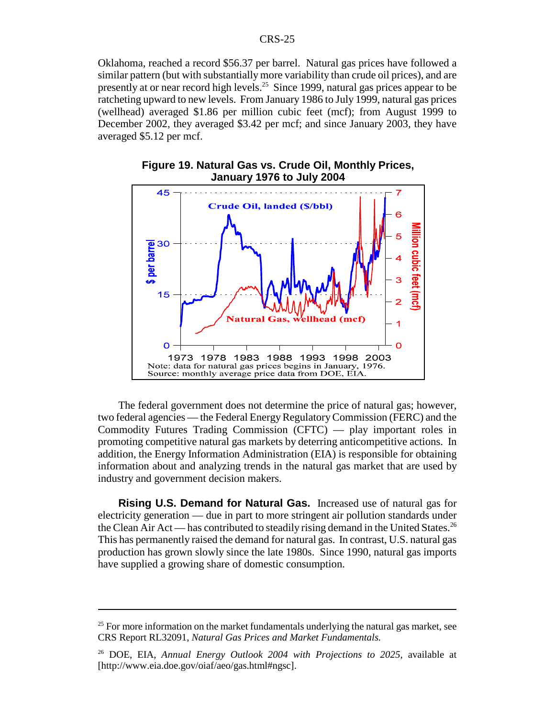Oklahoma, reached a record \$56.37 per barrel. Natural gas prices have followed a similar pattern (but with substantially more variability than crude oil prices), and are presently at or near record high levels.25 Since 1999, natural gas prices appear to be ratcheting upward to new levels. From January 1986 to July 1999, natural gas prices (wellhead) averaged \$1.86 per million cubic feet (mcf); from August 1999 to December 2002, they averaged \$3.42 per mcf; and since January 2003, they have averaged \$5.12 per mcf.





The federal government does not determine the price of natural gas; however, two federal agencies — the Federal Energy Regulatory Commission (FERC) and the Commodity Futures Trading Commission (CFTC) — play important roles in promoting competitive natural gas markets by deterring anticompetitive actions. In addition, the Energy Information Administration (EIA) is responsible for obtaining information about and analyzing trends in the natural gas market that are used by industry and government decision makers.

**Rising U.S. Demand for Natural Gas.** Increased use of natural gas for electricity generation — due in part to more stringent air pollution standards under the Clean Air Act — has contributed to steadily rising demand in the United States.<sup>26</sup> This has permanently raised the demand for natural gas. In contrast, U.S. natural gas production has grown slowly since the late 1980s. Since 1990, natural gas imports have supplied a growing share of domestic consumption.

 $25$  For more information on the market fundamentals underlying the natural gas market, see CRS Report RL32091, *Natural Gas Prices and Market Fundamentals.*

<sup>26</sup> DOE, EIA, *Annual Energy Outlook 2004 with Projections to 2025*, available at [http://www.eia.doe.gov/oiaf/aeo/gas.html#ngsc].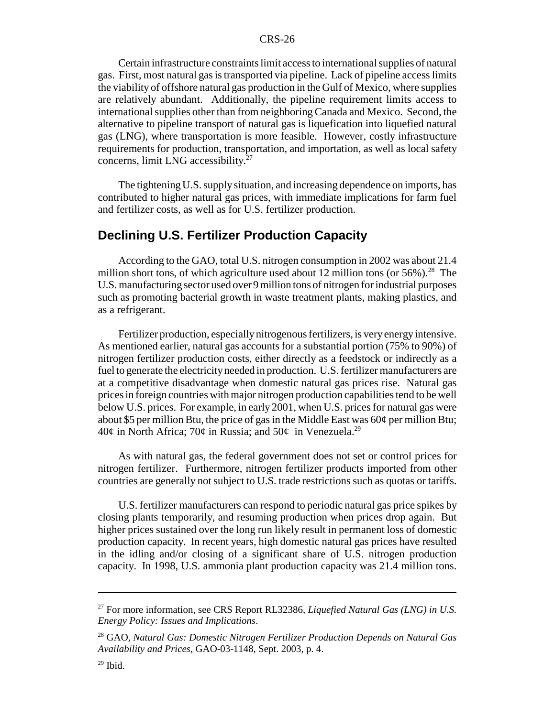Certain infrastructure constraints limit access to international supplies of natural gas. First, most natural gas is transported via pipeline. Lack of pipeline access limits the viability of offshore natural gas production in the Gulf of Mexico, where supplies are relatively abundant. Additionally, the pipeline requirement limits access to international supplies other than from neighboring Canada and Mexico. Second, the alternative to pipeline transport of natural gas is liquefication into liquefied natural gas (LNG), where transportation is more feasible. However, costly infrastructure requirements for production, transportation, and importation, as well as local safety concerns, limit LNG accessibility.<sup>27</sup>

The tightening U.S. supply situation, and increasing dependence on imports, has contributed to higher natural gas prices, with immediate implications for farm fuel and fertilizer costs, as well as for U.S. fertilizer production.

### **Declining U.S. Fertilizer Production Capacity**

According to the GAO, total U.S. nitrogen consumption in 2002 was about 21.4 million short tons, of which agriculture used about 12 million tons (or  $56\%$ ).<sup>28</sup> The U.S. manufacturing sector used over 9 million tons of nitrogen for industrial purposes such as promoting bacterial growth in waste treatment plants, making plastics, and as a refrigerant.

Fertilizer production, especially nitrogenous fertilizers, is very energy intensive. As mentioned earlier, natural gas accounts for a substantial portion (75% to 90%) of nitrogen fertilizer production costs, either directly as a feedstock or indirectly as a fuel to generate the electricity needed in production. U.S. fertilizer manufacturers are at a competitive disadvantage when domestic natural gas prices rise. Natural gas prices in foreign countries with major nitrogen production capabilities tend to be well below U.S. prices. For example, in early 2001, when U.S. prices for natural gas were about \$5 per million Btu, the price of gas in the Middle East was  $60¢$  per million Btu; 40¢ in North Africa; 70¢ in Russia; and 50¢ in Venezuela.<sup>29</sup>

As with natural gas, the federal government does not set or control prices for nitrogen fertilizer. Furthermore, nitrogen fertilizer products imported from other countries are generally not subject to U.S. trade restrictions such as quotas or tariffs.

U.S. fertilizer manufacturers can respond to periodic natural gas price spikes by closing plants temporarily, and resuming production when prices drop again. But higher prices sustained over the long run likely result in permanent loss of domestic production capacity. In recent years, high domestic natural gas prices have resulted in the idling and/or closing of a significant share of U.S. nitrogen production capacity. In 1998, U.S. ammonia plant production capacity was 21.4 million tons.

<sup>27</sup> For more information, see CRS Report RL32386, *Liquefied Natural Gas (LNG) in U.S. Energy Policy: Issues and Implications*.

<sup>28</sup> GAO, *Natural Gas: Domestic Nitrogen Fertilizer Production Depends on Natural Gas Availability and Prices*, GAO-03-1148, Sept. 2003, p. 4.

 $29$  Ibid.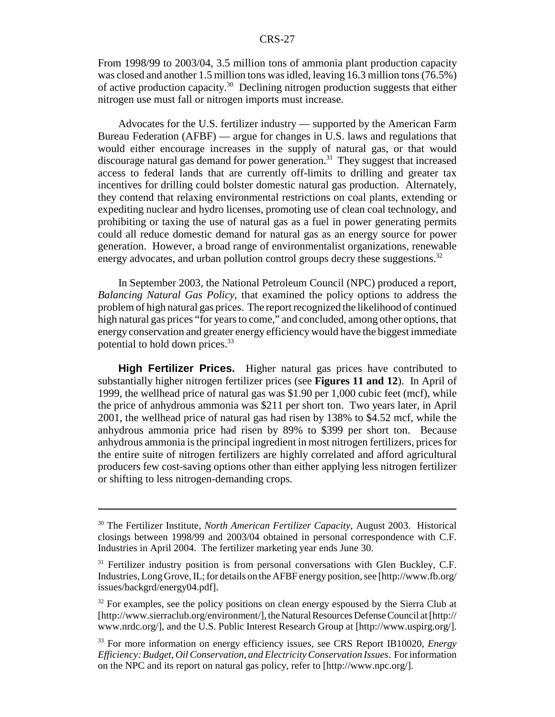From 1998/99 to 2003/04, 3.5 million tons of ammonia plant production capacity was closed and another 1.5 million tons was idled, leaving 16.3 million tons (76.5%) of active production capacity.30 Declining nitrogen production suggests that either nitrogen use must fall or nitrogen imports must increase.

Advocates for the U.S. fertilizer industry — supported by the American Farm Bureau Federation (AFBF) — argue for changes in U.S. laws and regulations that would either encourage increases in the supply of natural gas, or that would discourage natural gas demand for power generation.<sup>31</sup> They suggest that increased access to federal lands that are currently off-limits to drilling and greater tax incentives for drilling could bolster domestic natural gas production. Alternately, they contend that relaxing environmental restrictions on coal plants, extending or expediting nuclear and hydro licenses, promoting use of clean coal technology, and prohibiting or taxing the use of natural gas as a fuel in power generating permits could all reduce domestic demand for natural gas as an energy source for power generation. However, a broad range of environmentalist organizations, renewable energy advocates, and urban pollution control groups decry these suggestions.<sup>32</sup>

In September 2003, the National Petroleum Council (NPC) produced a report, *Balancing Natural Gas Policy*, that examined the policy options to address the problem of high natural gas prices. The report recognized the likelihood of continued high natural gas prices "for years to come," and concluded, among other options, that energy conservation and greater energy efficiency would have the biggest immediate potential to hold down prices.<sup>33</sup>

**High Fertilizer Prices.** Higher natural gas prices have contributed to substantially higher nitrogen fertilizer prices (see **Figures 11 and 12**). In April of 1999, the wellhead price of natural gas was \$1.90 per 1,000 cubic feet (mcf), while the price of anhydrous ammonia was \$211 per short ton. Two years later, in April 2001, the wellhead price of natural gas had risen by 138% to \$4.52 mcf, while the anhydrous ammonia price had risen by 89% to \$399 per short ton. Because anhydrous ammonia is the principal ingredient in most nitrogen fertilizers, prices for the entire suite of nitrogen fertilizers are highly correlated and afford agricultural producers few cost-saving options other than either applying less nitrogen fertilizer or shifting to less nitrogen-demanding crops.

<sup>30</sup> The Fertilizer Institute, *North American Fertilizer Capacity*, August 2003. Historical closings between 1998/99 and 2003/04 obtained in personal correspondence with C.F. Industries in April 2004. The fertilizer marketing year ends June 30.

 $31$  Fertilizer industry position is from personal conversations with Glen Buckley, C.F. Industries, Long Grove, IL; for details on the AFBF energy position, see [http://www.fb.org/ issues/backgrd/energy04.pdf].

 $32$  For examples, see the policy positions on clean energy espoused by the Sierra Club at [http://www.sierraclub.org/environment/], the Natural Resources Defense Council at [http:// www.nrdc.org/], and the U.S. Public Interest Research Group at [http://www.uspirg.org/].

<sup>33</sup> For more information on energy efficiency issues, see CRS Report IB10020, *Energy Efficiency: Budget, Oil Conservation, and Electricity Conservation Issues*. For information on the NPC and its report on natural gas policy, refer to [http://www.npc.org/].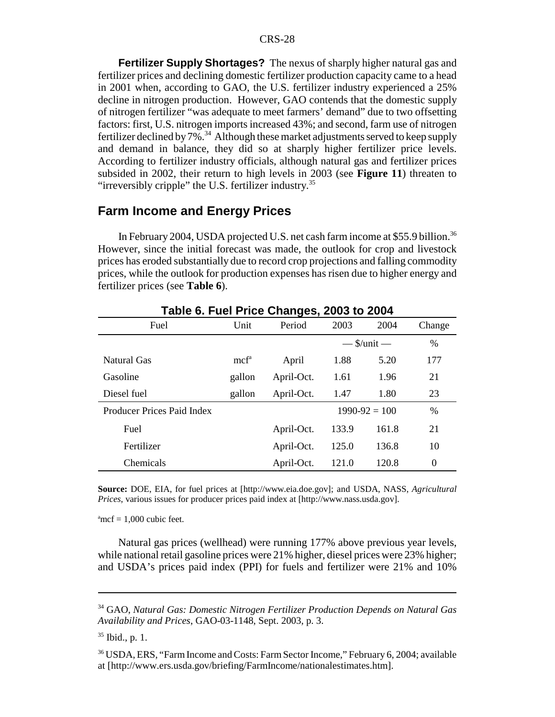**Fertilizer Supply Shortages?** The nexus of sharply higher natural gas and fertilizer prices and declining domestic fertilizer production capacity came to a head in 2001 when, according to GAO, the U.S. fertilizer industry experienced a 25% decline in nitrogen production. However, GAO contends that the domestic supply of nitrogen fertilizer "was adequate to meet farmers' demand" due to two offsetting factors: first, U.S. nitrogen imports increased 43%; and second, farm use of nitrogen fertilizer declined by  $7\%$ .<sup>34</sup> Although these market adjustments served to keep supply and demand in balance, they did so at sharply higher fertilizer price levels. According to fertilizer industry officials, although natural gas and fertilizer prices subsided in 2002, their return to high levels in 2003 (see **Figure 11**) threaten to "irreversibly cripple" the U.S. fertilizer industry. $35$ 

### **Farm Income and Energy Prices**

In February 2004, USDA projected U.S. net cash farm income at \$55.9 billion.<sup>36</sup> However, since the initial forecast was made, the outlook for crop and livestock prices has eroded substantially due to record crop projections and falling commodity prices, while the outlook for production expenses has risen due to higher energy and fertilizer prices (see **Table 6**).

| $14010$ VI I 401 I 1100 OHANGOOI 4000 to 400 T |                  |            |              |                   |          |  |  |  |
|------------------------------------------------|------------------|------------|--------------|-------------------|----------|--|--|--|
| Fuel                                           | Unit             | Period     | 2003         | 2004              | Change   |  |  |  |
|                                                |                  |            |              | $-$ \$/unit $-$   | $\%$     |  |  |  |
| Natural Gas                                    | mcf <sup>a</sup> | April      | 1.88         | 5.20              | 177      |  |  |  |
| Gasoline                                       | gallon           | April-Oct. | 1.96<br>1.61 |                   | 21       |  |  |  |
| Diesel fuel                                    | gallon           | April-Oct. | 1.47<br>1.80 |                   | 23       |  |  |  |
| <b>Producer Prices Paid Index</b>              |                  |            |              | $1990 - 92 = 100$ | $\%$     |  |  |  |
| Fuel                                           |                  | April-Oct. | 133.9        | 161.8             | 21       |  |  |  |
| Fertilizer                                     |                  | April-Oct. | 125.0        | 136.8             | 10       |  |  |  |
| Chemicals                                      |                  | April-Oct. | 121.0        | 120.8             | $\theta$ |  |  |  |

**Table 6. Fuel Price Changes, 2003 to 2004**

**Source:** DOE, EIA, for fuel prices at [http://www.eia.doe.gov]; and USDA, NASS, *Agricultural Prices*, various issues for producer prices paid index at [http://www.nass.usda.gov].

 $\text{mcf} = 1,000 \text{ cubic feet}.$ 

Natural gas prices (wellhead) were running 177% above previous year levels, while national retail gasoline prices were 21% higher, diesel prices were 23% higher; and USDA's prices paid index (PPI) for fuels and fertilizer were 21% and 10%

<sup>34</sup> GAO, *Natural Gas: Domestic Nitrogen Fertilizer Production Depends on Natural Gas Availability and Prices*, GAO-03-1148, Sept. 2003, p. 3.

 $35$  Ibid., p. 1.

<sup>36</sup> USDA, ERS, "Farm Income and Costs: Farm Sector Income," February 6, 2004; available at [http://www.ers.usda.gov/briefing/FarmIncome/nationalestimates.htm].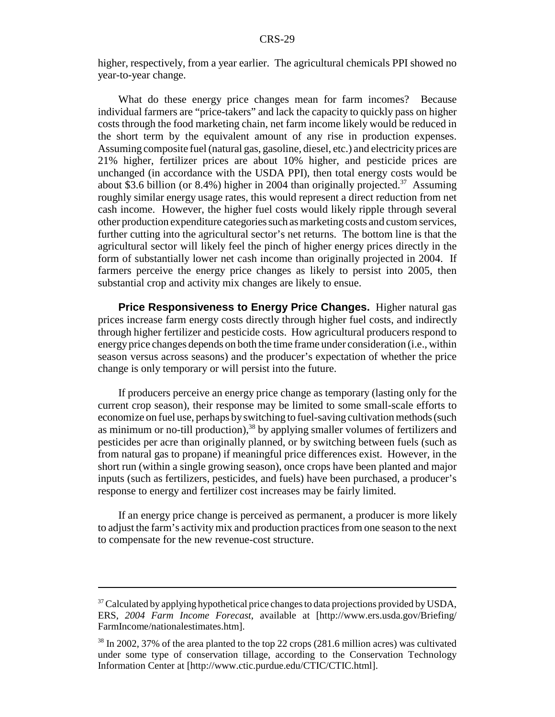higher, respectively, from a year earlier. The agricultural chemicals PPI showed no year-to-year change.

What do these energy price changes mean for farm incomes? Because individual farmers are "price-takers" and lack the capacity to quickly pass on higher costs through the food marketing chain, net farm income likely would be reduced in the short term by the equivalent amount of any rise in production expenses. Assuming composite fuel (natural gas, gasoline, diesel, etc.) and electricity prices are 21% higher, fertilizer prices are about 10% higher, and pesticide prices are unchanged (in accordance with the USDA PPI), then total energy costs would be about \$3.6 billion (or 8.4%) higher in 2004 than originally projected.<sup>37</sup> Assuming roughly similar energy usage rates, this would represent a direct reduction from net cash income. However, the higher fuel costs would likely ripple through several other production expenditure categories such as marketing costs and custom services, further cutting into the agricultural sector's net returns. The bottom line is that the agricultural sector will likely feel the pinch of higher energy prices directly in the form of substantially lower net cash income than originally projected in 2004. If farmers perceive the energy price changes as likely to persist into 2005, then substantial crop and activity mix changes are likely to ensue.

**Price Responsiveness to Energy Price Changes.** Higher natural gas prices increase farm energy costs directly through higher fuel costs, and indirectly through higher fertilizer and pesticide costs. How agricultural producers respond to energy price changes depends on both the time frame under consideration (i.e., within season versus across seasons) and the producer's expectation of whether the price change is only temporary or will persist into the future.

If producers perceive an energy price change as temporary (lasting only for the current crop season), their response may be limited to some small-scale efforts to economize on fuel use, perhaps by switching to fuel-saving cultivation methods (such as minimum or no-till production),  $38$  by applying smaller volumes of fertilizers and pesticides per acre than originally planned, or by switching between fuels (such as from natural gas to propane) if meaningful price differences exist. However, in the short run (within a single growing season), once crops have been planted and major inputs (such as fertilizers, pesticides, and fuels) have been purchased, a producer's response to energy and fertilizer cost increases may be fairly limited.

If an energy price change is perceived as permanent, a producer is more likely to adjust the farm's activity mix and production practices from one season to the next to compensate for the new revenue-cost structure.

 $37$  Calculated by applying hypothetical price changes to data projections provided by USDA, ERS, *2004 Farm Income Forecast*, available at [http://www.ers.usda.gov/Briefing/ FarmIncome/nationalestimates.htm].

<sup>38</sup> In 2002, 37% of the area planted to the top 22 crops (281.6 million acres) was cultivated under some type of conservation tillage, according to the Conservation Technology Information Center at [http://www.ctic.purdue.edu/CTIC/CTIC.html].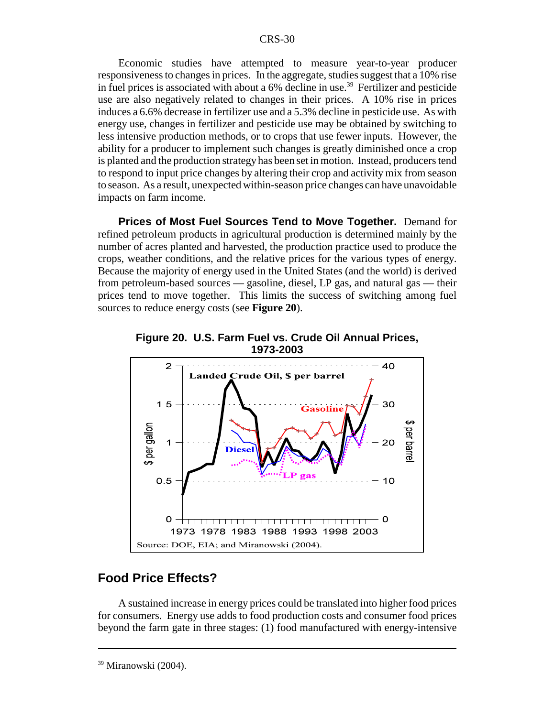Economic studies have attempted to measure year-to-year producer responsiveness to changes in prices. In the aggregate, studies suggest that a 10% rise in fuel prices is associated with about a  $6\%$  decline in use.<sup>39</sup> Fertilizer and pesticide use are also negatively related to changes in their prices. A 10% rise in prices induces a 6.6% decrease in fertilizer use and a 5.3% decline in pesticide use. As with energy use, changes in fertilizer and pesticide use may be obtained by switching to less intensive production methods, or to crops that use fewer inputs. However, the ability for a producer to implement such changes is greatly diminished once a crop is planted and the production strategy has been set in motion. Instead, producers tend to respond to input price changes by altering their crop and activity mix from season to season. As a result, unexpected within-season price changes can have unavoidable impacts on farm income.

**Prices of Most Fuel Sources Tend to Move Together.** Demand for refined petroleum products in agricultural production is determined mainly by the number of acres planted and harvested, the production practice used to produce the crops, weather conditions, and the relative prices for the various types of energy. Because the majority of energy used in the United States (and the world) is derived from petroleum-based sources — gasoline, diesel, LP gas, and natural gas — their prices tend to move together. This limits the success of switching among fuel sources to reduce energy costs (see **Figure 20**).





### **Food Price Effects?**

A sustained increase in energy prices could be translated into higher food prices for consumers. Energy use adds to food production costs and consumer food prices beyond the farm gate in three stages: (1) food manufactured with energy-intensive

<sup>39</sup> Miranowski (2004).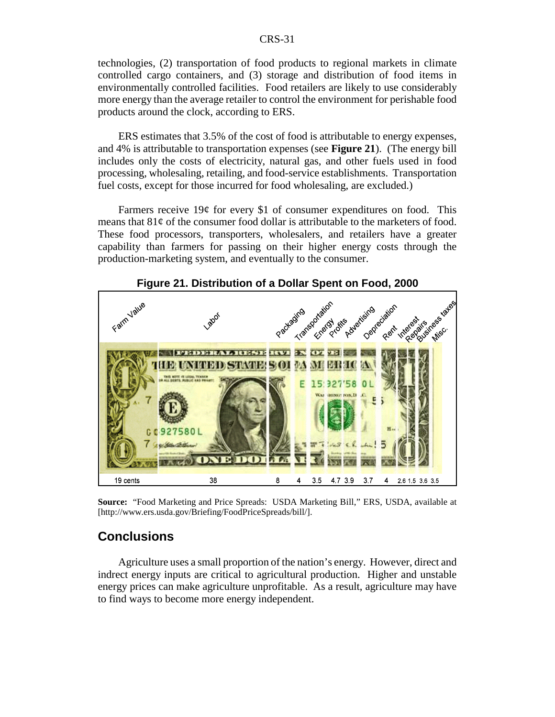technologies, (2) transportation of food products to regional markets in climate controlled cargo containers, and (3) storage and distribution of food items in environmentally controlled facilities. Food retailers are likely to use considerably more energy than the average retailer to control the environment for perishable food products around the clock, according to ERS.

ERS estimates that 3.5% of the cost of food is attributable to energy expenses, and 4% is attributable to transportation expenses (see **Figure 21**). (The energy bill includes only the costs of electricity, natural gas, and other fuels used in food processing, wholesaling, retailing, and food-service establishments. Transportation fuel costs, except for those incurred for food wholesaling, are excluded.)

Farmers receive  $19¢$  for every \$1 of consumer expenditures on food. This means that  $81¢$  of the consumer food dollar is attributable to the marketers of food. These food processors, transporters, wholesalers, and retailers have a greater capability than farmers for passing on their higher energy costs through the production-marketing system, and eventually to the consumer.



**Figure 21. Distribution of a Dollar Spent on Food, 2000**

**Source:** "Food Marketing and Price Spreads: USDA Marketing Bill," ERS, USDA, available at [http://www.ers.usda.gov/Briefing/FoodPriceSpreads/bill/].

# **Conclusions**

Agriculture uses a small proportion of the nation's energy. However, direct and indrect energy inputs are critical to agricultural production. Higher and unstable energy prices can make agriculture unprofitable. As a result, agriculture may have to find ways to become more energy independent.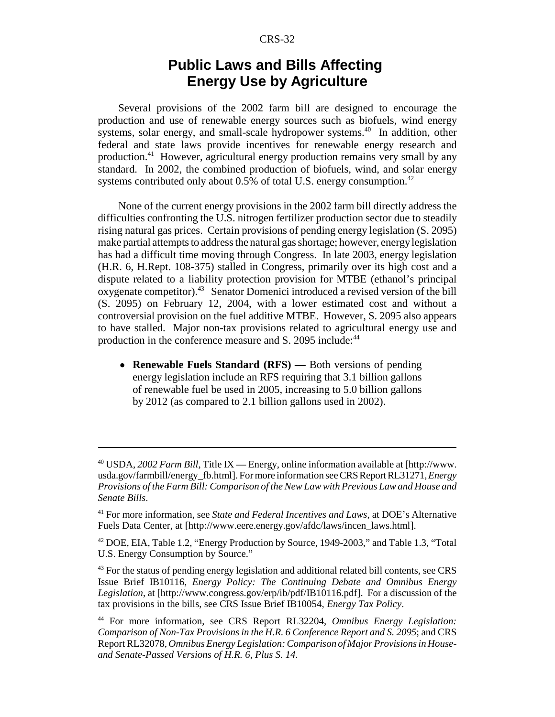# **Public Laws and Bills Affecting Energy Use by Agriculture**

Several provisions of the 2002 farm bill are designed to encourage the production and use of renewable energy sources such as biofuels, wind energy systems, solar energy, and small-scale hydropower systems.<sup>40</sup> In addition, other federal and state laws provide incentives for renewable energy research and production.41 However, agricultural energy production remains very small by any standard. In 2002, the combined production of biofuels, wind, and solar energy systems contributed only about  $0.5\%$  of total U.S. energy consumption.<sup>42</sup>

None of the current energy provisions in the 2002 farm bill directly address the difficulties confronting the U.S. nitrogen fertilizer production sector due to steadily rising natural gas prices. Certain provisions of pending energy legislation (S. 2095) make partial attempts to address the natural gas shortage; however, energy legislation has had a difficult time moving through Congress. In late 2003, energy legislation (H.R. 6, H.Rept. 108-375) stalled in Congress, primarily over its high cost and a dispute related to a liability protection provision for MTBE (ethanol's principal oxygenate competitor).43 Senator Domenici introduced a revised version of the bill (S. 2095) on February 12, 2004, with a lower estimated cost and without a controversial provision on the fuel additive MTBE. However, S. 2095 also appears to have stalled. Major non-tax provisions related to agricultural energy use and production in the conference measure and S. 2095 include:<sup>44</sup>

• **Renewable Fuels Standard (RFS)** — Both versions of pending energy legislation include an RFS requiring that 3.1 billion gallons of renewable fuel be used in 2005, increasing to 5.0 billion gallons by 2012 (as compared to 2.1 billion gallons used in 2002).

<sup>40</sup> USDA, *2002 Farm Bill*, Title IX — Energy, online information available at [http://www. usda.gov/farmbill/energy\_fb.html]. For more information see CRS Report RL31271, *Energy Provisions of the Farm Bill: Comparison of the New Law with Previous Law and House and Senate Bills*.

<sup>41</sup> For more information, see *State and Federal Incentives and Laws*, at DOE's Alternative Fuels Data Center, at [http://www.eere.energy.gov/afdc/laws/incen\_laws.html].

<sup>42</sup> DOE, EIA, Table 1.2, "Energy Production by Source, 1949-2003," and Table 1.3, "Total U.S. Energy Consumption by Source."

 $43$  For the status of pending energy legislation and additional related bill contents, see CRS Issue Brief IB10116, *Energy Policy: The Continuing Debate and Omnibus Energy Legislation*, at [http://www.congress.gov/erp/ib/pdf/IB10116.pdf]. For a discussion of the tax provisions in the bills, see CRS Issue Brief IB10054, *Energy Tax Policy*.

<sup>44</sup> For more information, see CRS Report RL32204, *Omnibus Energy Legislation: Comparison of Non-Tax Provisions in the H.R. 6 Conference Report and S. 2095*; and CRS Report RL32078, *Omnibus Energy Legislation: Comparison of Major Provisions in Houseand Senate-Passed Versions of H.R. 6, Plus S. 14*.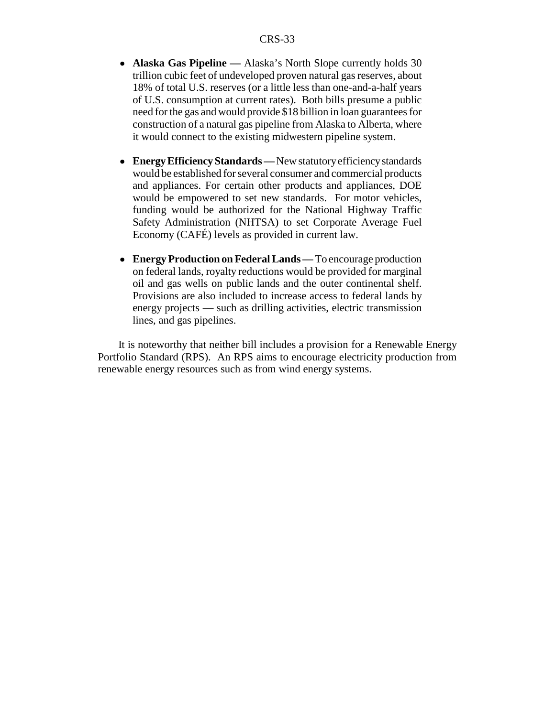- **Alaska Gas Pipeline** Alaska's North Slope currently holds 30 trillion cubic feet of undeveloped proven natural gas reserves, about 18% of total U.S. reserves (or a little less than one-and-a-half years of U.S. consumption at current rates). Both bills presume a public need for the gas and would provide \$18 billion in loan guarantees for construction of a natural gas pipeline from Alaska to Alberta, where it would connect to the existing midwestern pipeline system.
- ! **Energy Efficiency Standards** New statutory efficiency standards would be established for several consumer and commercial products and appliances. For certain other products and appliances, DOE would be empowered to set new standards. For motor vehicles, funding would be authorized for the National Highway Traffic Safety Administration (NHTSA) to set Corporate Average Fuel Economy (CAFÉ) levels as provided in current law.
- ! **Energy Production on Federal Lands** To encourage production on federal lands, royalty reductions would be provided for marginal oil and gas wells on public lands and the outer continental shelf. Provisions are also included to increase access to federal lands by energy projects — such as drilling activities, electric transmission lines, and gas pipelines.

It is noteworthy that neither bill includes a provision for a Renewable Energy Portfolio Standard (RPS). An RPS aims to encourage electricity production from renewable energy resources such as from wind energy systems.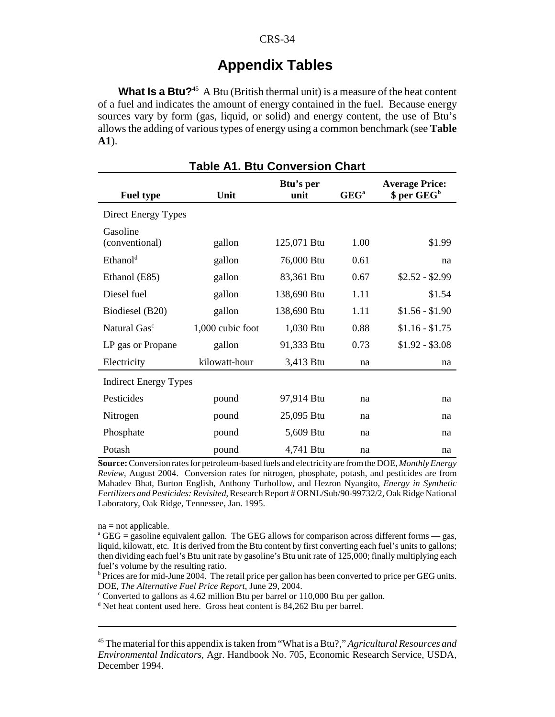# **Appendix Tables**

**What Is a Btu?**<sup>45</sup> A Btu (British thermal unit) is a measure of the heat content of a fuel and indicates the amount of energy contained in the fuel. Because energy sources vary by form (gas, liquid, or solid) and energy content, the use of Btu's allows the adding of various types of energy using a common benchmark (see **Table A1**).

| <b>Table A1. Btu Conversion Chart</b> |                  |                   |         |                                                  |  |  |  |  |
|---------------------------------------|------------------|-------------------|---------|--------------------------------------------------|--|--|--|--|
| <b>Fuel type</b>                      | Unit             | Btu's per<br>unit | $GEG^a$ | <b>Average Price:</b><br>\$ per GEG <sup>b</sup> |  |  |  |  |
| Direct Energy Types                   |                  |                   |         |                                                  |  |  |  |  |
| Gasoline<br>(conventional)            | gallon           | 125,071 Btu       | 1.00    | \$1.99                                           |  |  |  |  |
| Ethanol <sup>d</sup>                  | gallon           | 76,000 Btu        | 0.61    | na                                               |  |  |  |  |
| Ethanol (E85)                         | gallon           | 83,361 Btu        | 0.67    | $$2.52 - $2.99$                                  |  |  |  |  |
| Diesel fuel                           | gallon           | 138,690 Btu       | 1.11    | \$1.54                                           |  |  |  |  |
| Biodiesel (B20)                       | gallon           | 138,690 Btu       | 1.11    | $$1.56 - $1.90$                                  |  |  |  |  |
| Natural Gas <sup>c</sup>              | 1,000 cubic foot | 1,030 Btu         | 0.88    | $$1.16 - $1.75$                                  |  |  |  |  |
| LP gas or Propane                     | gallon           | 91,333 Btu        | 0.73    | $$1.92 - $3.08$                                  |  |  |  |  |
| Electricity                           | kilowatt-hour    | 3,413 Btu         | na      | na                                               |  |  |  |  |
| <b>Indirect Energy Types</b>          |                  |                   |         |                                                  |  |  |  |  |
| Pesticides                            | pound            | 97,914 Btu        | na      | na                                               |  |  |  |  |
| Nitrogen                              | pound            | 25,095 Btu        | na      | na                                               |  |  |  |  |
| Phosphate                             | pound            | 5,609 Btu         | na      | na                                               |  |  |  |  |
| Potash                                | pound            | 4,741 Btu         | na      | na                                               |  |  |  |  |

**Source:** Conversion rates for petroleum-based fuels and electricity are from the DOE, *Monthly Energy Review*, August 2004. Conversion rates for nitrogen, phosphate, potash, and pesticides are from Mahadev Bhat, Burton English, Anthony Turhollow, and Hezron Nyangito, *Energy in Synthetic Fertilizers and Pesticides: Revisited*, Research Report # ORNL/Sub/90-99732/2, Oak Ridge National Laboratory, Oak Ridge, Tennessee, Jan. 1995.

 $na = not applicable.$ 

<sup>a</sup> GEG = gasoline equivalent gallon. The GEG allows for comparison across different forms - gas, liquid, kilowatt, etc. It is derived from the Btu content by first converting each fuel's units to gallons; then dividing each fuel's Btu unit rate by gasoline's Btu unit rate of 125,000; finally multiplying each fuel's volume by the resulting ratio.

<sup>b</sup> Prices are for mid-June 2004. The retail price per gallon has been converted to price per GEG units. DOE, *The Alternative Fuel Price Report*, June 29, 2004.

 $\textdegree$  Converted to gallons as 4.62 million Btu per barrel or 110,000 Btu per gallon.

<sup>d</sup> Net heat content used here. Gross heat content is 84,262 Btu per barrel.

45 The material for this appendix is taken from "What is a Btu?," *Agricultural Resources and Environmental Indicators*, Agr. Handbook No. 705, Economic Research Service, USDA, December 1994.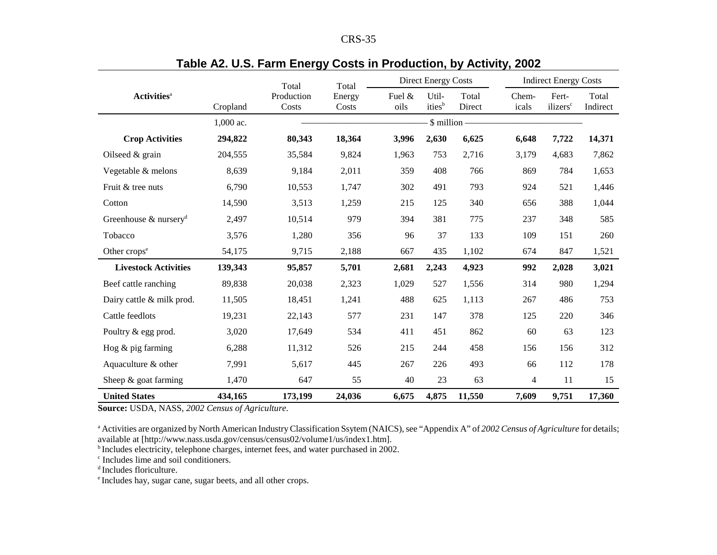| n<br>ч.<br>DO 17 |
|------------------|
|------------------|

|                                   |           | <b>Direct Energy Costs</b><br>Total<br>Total |                 |                |                             | <b>Indirect Energy Costs</b> |                |                               |                   |
|-----------------------------------|-----------|----------------------------------------------|-----------------|----------------|-----------------------------|------------------------------|----------------|-------------------------------|-------------------|
| <b>Activities</b> <sup>a</sup>    | Cropland  | Production<br>Costs                          | Energy<br>Costs | Fuel &<br>oils | Util-<br>ities <sup>b</sup> | Total<br>Direct              | Chem-<br>icals | Fert-<br>ilizers <sup>c</sup> | Total<br>Indirect |
|                                   | 1,000 ac. |                                              |                 |                | \$ million -                |                              |                |                               |                   |
| <b>Crop Activities</b>            | 294,822   | 80,343                                       | 18,364          | 3,996          | 2,630                       | 6,625                        | 6,648          | 7,722                         | 14,371            |
| Oilseed $&$ grain                 | 204,555   | 35,584                                       | 9,824           | 1,963          | 753                         | 2,716                        | 3,179          | 4,683                         | 7,862             |
| Vegetable & melons                | 8,639     | 9,184                                        | 2,011           | 359            | 408                         | 766                          | 869            | 784                           | 1,653             |
| Fruit & tree nuts                 | 6,790     | 10,553                                       | 1,747           | 302            | 491                         | 793                          | 924            | 521                           | 1,446             |
| Cotton                            | 14,590    | 3,513                                        | 1,259           | 215            | 125                         | 340                          | 656            | 388                           | 1,044             |
| Greenhouse & nursery <sup>d</sup> | 2,497     | 10,514                                       | 979             | 394            | 381                         | 775                          | 237            | 348                           | 585               |
| Tobacco                           | 3,576     | 1,280                                        | 356             | 96             | 37                          | 133                          | 109            | 151                           | 260               |
| Other crops <sup>e</sup>          | 54,175    | 9,715                                        | 2,188           | 667            | 435                         | 1,102                        | 674            | 847                           | 1,521             |
| <b>Livestock Activities</b>       | 139,343   | 95,857                                       | 5,701           | 2,681          | 2,243                       | 4,923                        | 992            | 2,028                         | 3,021             |
| Beef cattle ranching              | 89,838    | 20,038                                       | 2,323           | 1,029          | 527                         | 1,556                        | 314            | 980                           | 1,294             |
| Dairy cattle & milk prod.         | 11,505    | 18,451                                       | 1,241           | 488            | 625                         | 1,113                        | 267            | 486                           | 753               |
| Cattle feedlots                   | 19,231    | 22,143                                       | 577             | 231            | 147                         | 378                          | 125            | 220                           | 346               |
| Poultry & egg prod.               | 3,020     | 17,649                                       | 534             | 411            | 451                         | 862                          | 60             | 63                            | 123               |
| Hog $&$ pig farming               | 6,288     | 11,312                                       | 526             | 215            | 244                         | 458                          | 156            | 156                           | 312               |
| Aquaculture & other               | 7,991     | 5,617                                        | 445             | 267            | 226                         | 493                          | 66             | 112                           | 178               |
| Sheep $&$ goat farming            | 1,470     | 647                                          | 55              | 40             | 23                          | 63                           | $\overline{4}$ | 11                            | 15                |
| <b>United States</b>              | 434,165   | 173,199                                      | 24,036          | 6,675          | 4,875                       | 11,550                       | 7,609          | 9,751                         | 17,360            |

### **Table A2. U.S. Farm Energy Costs in Production, by Activity, 2002**

**Source:** USDA, NASS, *2002 Census of Agriculture*.

<sup>a</sup> Activities are organized by North American Industry Classification Ssytem (NAICS), see "Appendix A" of 2002 Census of Agriculture for details; available at [http://www.nass.usda.gov/census/census02/volume1/us/index1.htm].

<sup>b</sup> Includes electricity, telephone charges, internet fees, and water purchased in 2002.

c Includes lime and soil conditioners.

<sup>d</sup> Includes floriculture.

e Includes hay, sugar cane, sugar beets, and all other crops.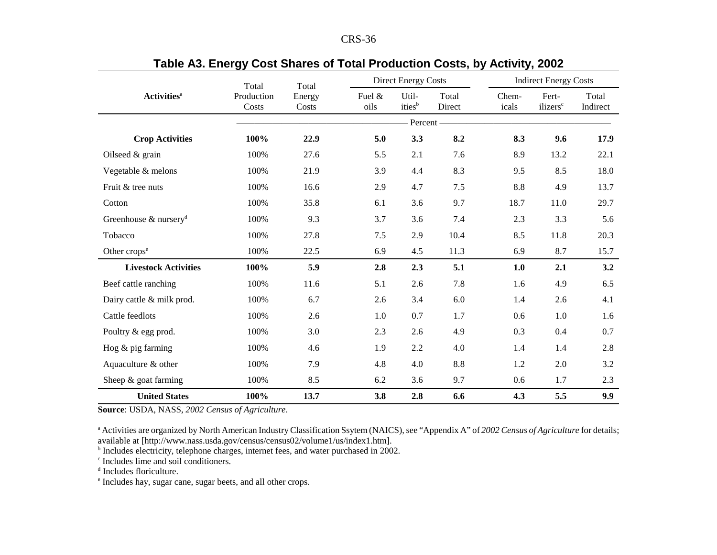|                                      | Total               | Total           |                | <b>Direct Energy Costs</b>  |                 |                | <b>Indirect Energy Costs</b>  |                   |
|--------------------------------------|---------------------|-----------------|----------------|-----------------------------|-----------------|----------------|-------------------------------|-------------------|
| <b>Activities</b> <sup>a</sup>       | Production<br>Costs | Energy<br>Costs | Fuel &<br>oils | Util-<br>ities <sup>b</sup> | Total<br>Direct | Chem-<br>icals | Fert-<br>ilizers <sup>c</sup> | Total<br>Indirect |
|                                      |                     |                 |                | Percent -                   |                 |                |                               |                   |
| <b>Crop Activities</b>               | 100%                | 22.9            | 5.0            | 3.3                         | 8.2             | 8.3            | 9.6                           | 17.9              |
| Oilseed $&$ grain                    | 100%                | 27.6            | 5.5            | 2.1                         | 7.6             | 8.9            | 13.2                          | 22.1              |
| Vegetable & melons                   | 100%                | 21.9            | 3.9            | 4.4                         | 8.3             | 9.5            | 8.5                           | 18.0              |
| Fruit & tree nuts                    | 100%                | 16.6            | 2.9            | 4.7                         | 7.5             | 8.8            | 4.9                           | 13.7              |
| Cotton                               | 100%                | 35.8            | 6.1            | 3.6                         | 9.7             | 18.7           | 11.0                          | 29.7              |
| Greenhouse $\&$ nursery <sup>d</sup> | 100%                | 9.3             | 3.7            | 3.6                         | 7.4             | 2.3            | 3.3                           | 5.6               |
| Tobacco                              | 100%                | 27.8            | 7.5            | 2.9                         | 10.4            | 8.5            | 11.8                          | 20.3              |
| Other crops <sup>e</sup>             | 100%                | 22.5            | 6.9            | 4.5                         | 11.3            | 6.9            | 8.7                           | 15.7              |
| <b>Livestock Activities</b>          | 100%                | 5.9             | 2.8            | 2.3                         | 5.1             | 1.0            | 2.1                           | 3.2               |
| Beef cattle ranching                 | 100%                | 11.6            | 5.1            | 2.6                         | 7.8             | 1.6            | 4.9                           | 6.5               |
| Dairy cattle & milk prod.            | 100%                | 6.7             | 2.6            | 3.4                         | 6.0             | 1.4            | 2.6                           | 4.1               |
| Cattle feedlots                      | 100%                | 2.6             | 1.0            | 0.7                         | 1.7             | 0.6            | 1.0                           | 1.6               |
| Poultry & egg prod.                  | 100%                | 3.0             | 2.3            | 2.6                         | 4.9             | 0.3            | 0.4                           | 0.7               |
| Hog $&$ pig farming                  | 100%                | 4.6             | 1.9            | 2.2                         | 4.0             | 1.4            | 1.4                           | 2.8               |
| Aquaculture & other                  | 100%                | 7.9             | 4.8            | 4.0                         | 8.8             | 1.2            | 2.0                           | 3.2               |
| Sheep $&$ goat farming               | 100%                | 8.5             | 6.2            | 3.6                         | 9.7             | 0.6            | 1.7                           | 2.3               |
| <b>United States</b>                 | 100%                | 13.7            | 3.8            | 2.8                         | 6.6             | 4.3            | 5.5                           | 9.9               |

### **Table A3. Energy Cost Shares of Total Production Costs, by Activity, 2002**

**Source**: USDA, NASS, *2002 Census of Agriculture*.

<sup>a</sup> Activities are organized by North American Industry Classification Ssytem (NAICS), see "Appendix A" of 2002 Census of Agriculture for details; available at [http://www.nass.usda.gov/census/census02/volume1/us/index1.htm].

<sup>b</sup> Includes electricity, telephone charges, internet fees, and water purchased in 2002.

c Includes lime and soil conditioners.

d Includes floriculture.

e Includes hay, sugar cane, sugar beets, and all other crops.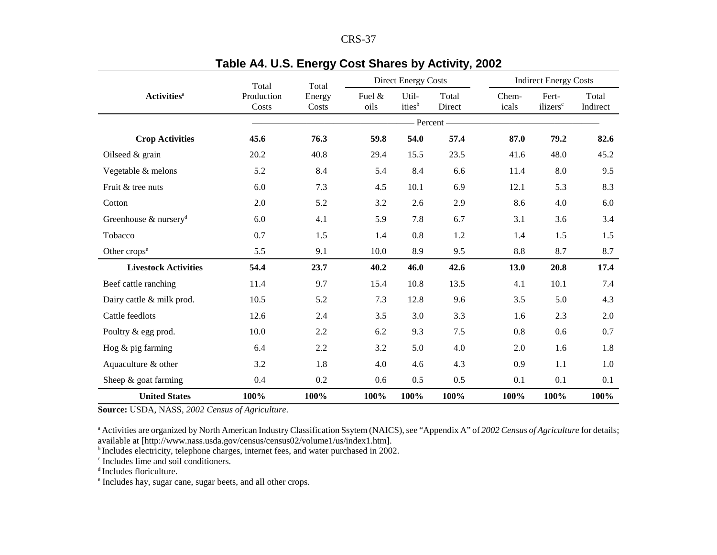| י<br>г<br>יי |  |
|--------------|--|
|--------------|--|

|                                      | Total               | Total           |                   | <b>Direct Energy Costs</b>  |                 |                |                                                                                                                                                                                           |                   |
|--------------------------------------|---------------------|-----------------|-------------------|-----------------------------|-----------------|----------------|-------------------------------------------------------------------------------------------------------------------------------------------------------------------------------------------|-------------------|
| <b>Activities</b> <sup>a</sup>       | Production<br>Costs | Energy<br>Costs | Fuel $\&$<br>oils | Util-<br>ities <sup>b</sup> | Total<br>Direct | Chem-<br>icals | <b>Indirect Energy Costs</b><br>Fert-<br>ilizers <sup>c</sup><br>79.2<br>48.0<br>8.0<br>5.3<br>4.0<br>3.6<br>1.5<br>8.7<br>20.8<br>10.1<br>5.0<br>2.3<br>0.6<br>1.6<br>1.1<br>0.1<br>100% | Total<br>Indirect |
|                                      |                     |                 |                   | - Percent -                 |                 |                |                                                                                                                                                                                           |                   |
| <b>Crop Activities</b>               | 45.6                | 76.3            | 59.8              | 54.0                        | 57.4            | 87.0           |                                                                                                                                                                                           | 82.6              |
| Oilseed & grain                      | 20.2                | 40.8            | 29.4              | 15.5                        | 23.5            | 41.6           |                                                                                                                                                                                           | 45.2              |
| Vegetable & melons                   | 5.2                 | 8.4             | 5.4               | 8.4                         | 6.6             | 11.4           |                                                                                                                                                                                           | 9.5               |
| Fruit & tree nuts                    | 6.0                 | 7.3             | 4.5               | 10.1                        | 6.9             | 12.1           |                                                                                                                                                                                           | 8.3               |
| Cotton                               | 2.0                 | 5.2             | 3.2               | 2.6                         | 2.9             | 8.6            |                                                                                                                                                                                           | 6.0               |
| Greenhouse $\&$ nursery <sup>d</sup> | 6.0                 | 4.1             | 5.9               | 7.8                         | 6.7             | 3.1            |                                                                                                                                                                                           | 3.4               |
| Tobacco                              | 0.7                 | 1.5             | 1.4               | $0.8\,$                     | 1.2             | 1.4            |                                                                                                                                                                                           | 1.5               |
| Other crops <sup>e</sup>             | 5.5                 | 9.1             | 10.0              | 8.9                         | 9.5             | 8.8            |                                                                                                                                                                                           | 8.7               |
| <b>Livestock Activities</b>          | 54,4                | 23.7            | 40.2              | 46.0                        | 42.6            | 13.0           |                                                                                                                                                                                           | 17.4              |
| Beef cattle ranching                 | 11.4                | 9.7             | 15.4              | 10.8                        | 13.5            | 4.1            |                                                                                                                                                                                           | 7.4               |
| Dairy cattle & milk prod.            | 10.5                | 5.2             | 7.3               | 12.8                        | 9.6             | 3.5            |                                                                                                                                                                                           | 4.3               |
| Cattle feedlots                      | 12.6                | 2.4             | 3.5               | 3.0                         | 3.3             | 1.6            |                                                                                                                                                                                           | 2.0               |
| Poultry & egg prod.                  | 10.0                | 2.2             | 6.2               | 9.3                         | 7.5             | 0.8            |                                                                                                                                                                                           | 0.7               |
| Hog $\&$ pig farming                 | 6.4                 | 2.2             | 3.2               | 5.0                         | 4.0             | 2.0            |                                                                                                                                                                                           | 1.8               |
| Aquaculture & other                  | 3.2                 | 1.8             | 4.0               | 4.6                         | 4.3             | 0.9            |                                                                                                                                                                                           | 1.0               |
| Sheep $&$ goat farming               | 0.4                 | 0.2             | 0.6               | 0.5                         | 0.5             | 0.1            |                                                                                                                                                                                           | 0.1               |
| <b>United States</b>                 | 100%                | 100%            | 100%              | 100%                        | 100%            | 100%           |                                                                                                                                                                                           | 100%              |

## **Table A4. U.S. Energy Cost Shares by Activity, 2002**

**Source:** USDA, NASS, *2002 Census of Agriculture*.

<sup>a</sup> Activities are organized by North American Industry Classification Ssytem (NAICS), see "Appendix A" of 2002 Census of Agriculture for details; available at [http://www.nass.usda.gov/census/census02/volume1/us/index1.htm].

<sup>b</sup> Includes electricity, telephone charges, internet fees, and water purchased in 2002.

c Includes lime and soil conditioners.

d Includes floriculture.

<sup>e</sup> Includes hay, sugar cane, sugar beets, and all other crops.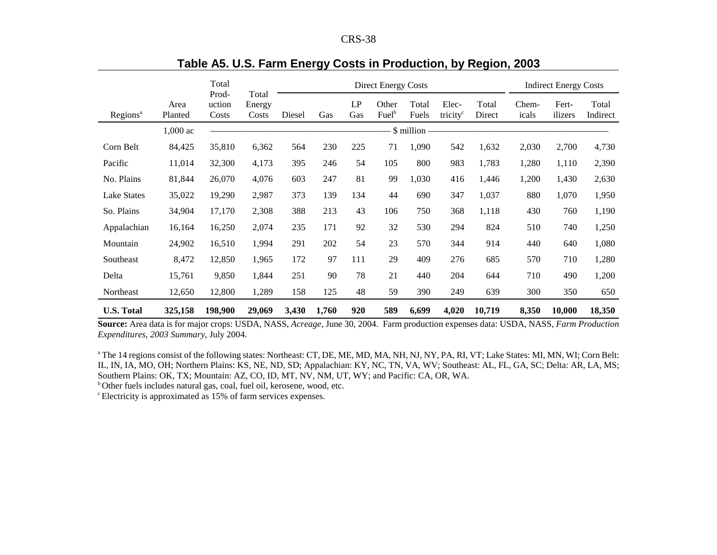| CRS-38 |  |
|--------|--|
|--------|--|

|                      |                 | Total                    |                          | <b>Direct Energy Costs</b> |       |           |                            |                |                               |                 | <b>Indirect Energy Costs</b> |                  |                   |
|----------------------|-----------------|--------------------------|--------------------------|----------------------------|-------|-----------|----------------------------|----------------|-------------------------------|-----------------|------------------------------|------------------|-------------------|
| Regions <sup>a</sup> | Area<br>Planted | Prod-<br>uction<br>Costs | Total<br>Energy<br>Costs | Diesel                     | Gas   | LP<br>Gas | Other<br>Fuel <sup>b</sup> | Total<br>Fuels | Elec-<br>tricity <sup>c</sup> | Total<br>Direct | Chem-<br>icals               | Fert-<br>ilizers | Total<br>Indirect |
|                      | $1,000$ ac      |                          |                          |                            |       |           |                            | \$ million     |                               |                 |                              |                  |                   |
| Corn Belt            | 84,425          | 35,810                   | 6,362                    | 564                        | 230   | 225       | 71                         | 1,090          | 542                           | 1,632           | 2,030                        | 2,700            | 4,730             |
| Pacific              | 11,014          | 32,300                   | 4,173                    | 395                        | 246   | 54        | 105                        | 800            | 983                           | 1,783           | 1,280                        | 1,110            | 2,390             |
| No. Plains           | 81,844          | 26,070                   | 4,076                    | 603                        | 247   | 81        | 99                         | 1,030          | 416                           | 1,446           | 1,200                        | 1,430            | 2,630             |
| <b>Lake States</b>   | 35,022          | 19,290                   | 2,987                    | 373                        | 139   | 134       | 44                         | 690            | 347                           | 1,037           | 880                          | 1,070            | 1,950             |
| So. Plains           | 34,904          | 17,170                   | 2,308                    | 388                        | 213   | 43        | 106                        | 750            | 368                           | 1,118           | 430                          | 760              | 1,190             |
| Appalachian          | 16,164          | 16,250                   | 2,074                    | 235                        | 171   | 92        | 32                         | 530            | 294                           | 824             | 510                          | 740              | 1,250             |
| Mountain             | 24,902          | 16,510                   | 1,994                    | 291                        | 202   | 54        | 23                         | 570            | 344                           | 914             | 440                          | 640              | 1,080             |
| Southeast            | 8,472           | 12,850                   | 1,965                    | 172                        | 97    | 111       | 29                         | 409            | 276                           | 685             | 570                          | 710              | 1,280             |
| Delta                | 15,761          | 9,850                    | 1,844                    | 251                        | 90    | 78        | 21                         | 440            | 204                           | 644             | 710                          | 490              | 1,200             |
| Northeast            | 12,650          | 12,800                   | 1,289                    | 158                        | 125   | 48        | 59                         | 390            | 249                           | 639             | 300                          | 350              | 650               |
| <b>U.S. Total</b>    | 325,158         | 198,900                  | 29,069                   | 3,430                      | 1,760 | 920       | 589                        | 6,699          | 4,020                         | 10,719          | 8,350                        | 10,000           | 18,350            |

### **Table A5. U.S. Farm Energy Costs in Production, by Region, 2003**

**Source:** Area data is for major crops: USDA, NASS, *Acreage*, June 30, 2004. Farm production expenses data: USDA, NASS, *Farm Production Expenditures, 2003 Summary*, July 2004.

<sup>a</sup> The 14 regions consist of the following states: Northeast: CT, DE, ME, MD, MA, NH, NJ, NY, PA, RI, VT; Lake States: MI, MN, WI; Corn Belt: IL, IN, IA, MO, OH; Northern Plains: KS, NE, ND, SD; Appalachian: KY, NC, TN, VA, WV; Southeast: AL, FL, GA, SC; Delta: AR, LA, MS; Southern Plains: OK, TX; Mountain: AZ, CO, ID, MT, NV, NM, UT, WY; and Pacific: CA, OR, WA.

b Other fuels includes natural gas, coal, fuel oil, kerosene, wood, etc.

c Electricity is approximated as 15% of farm services expenses.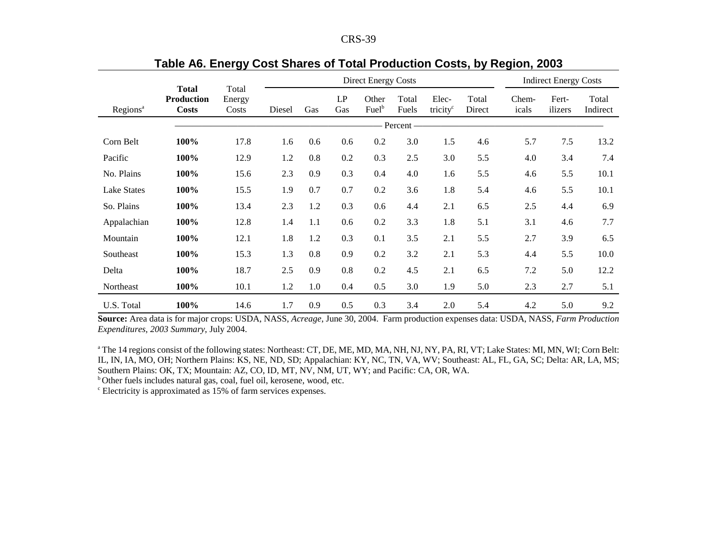| n.<br>N. | $\Omega$ |
|----------|----------|
|----------|----------|

|                      |                                                   |                          |          |     | Direct Energy Costs | <b>Indirect Energy Costs</b> |                |                               |                 |                |                  |                   |
|----------------------|---------------------------------------------------|--------------------------|----------|-----|---------------------|------------------------------|----------------|-------------------------------|-----------------|----------------|------------------|-------------------|
| Regions <sup>a</sup> | <b>Total</b><br><b>Production</b><br><b>Costs</b> | Total<br>Energy<br>Costs | Diesel   | Gas | LP<br>Gas           | Other<br>Fuelb               | Total<br>Fuels | Elec-<br>tricity <sup>c</sup> | Total<br>Direct | Chem-<br>icals | Fert-<br>ilizers | Total<br>Indirect |
|                      |                                                   |                          | Percent- |     |                     |                              |                |                               |                 |                |                  |                   |
| Corn Belt            | 100%                                              | 17.8                     | 1.6      | 0.6 | 0.6                 | 0.2                          | 3.0            | 1.5                           | 4.6             | 5.7            | 7.5              | 13.2              |
| Pacific              | 100%                                              | 12.9                     | 1.2      | 0.8 | 0.2                 | 0.3                          | 2.5            | 3.0                           | 5.5             | 4.0            | 3.4              | 7.4               |
| No. Plains           | 100%                                              | 15.6                     | 2.3      | 0.9 | 0.3                 | 0.4                          | 4.0            | 1.6                           | 5.5             | 4.6            | 5.5              | 10.1              |
| <b>Lake States</b>   | 100%                                              | 15.5                     | 1.9      | 0.7 | 0.7                 | 0.2                          | 3.6            | 1.8                           | 5.4             | 4.6            | 5.5              | 10.1              |
| So. Plains           | 100%                                              | 13.4                     | 2.3      | 1.2 | 0.3                 | 0.6                          | 4.4            | 2.1                           | 6.5             | 2.5            | 4.4              | 6.9               |
| Appalachian          | 100%                                              | 12.8                     | 1.4      | 1.1 | 0.6                 | 0.2                          | 3.3            | 1.8                           | 5.1             | 3.1            | 4.6              | 7.7               |
| Mountain             | 100%                                              | 12.1                     | 1.8      | 1.2 | 0.3                 | 0.1                          | 3.5            | 2.1                           | 5.5             | 2.7            | 3.9              | 6.5               |
| Southeast            | 100%                                              | 15.3                     | 1.3      | 0.8 | 0.9                 | 0.2                          | 3.2            | 2.1                           | 5.3             | 4.4            | 5.5              | 10.0              |
| Delta                | 100%                                              | 18.7                     | 2.5      | 0.9 | 0.8                 | 0.2                          | 4.5            | 2.1                           | 6.5             | 7.2            | 5.0              | 12.2              |
| Northeast            | 100%                                              | 10.1                     | 1.2      | 1.0 | 0.4                 | 0.5                          | 3.0            | 1.9                           | 5.0             | 2.3            | 2.7              | 5.1               |
| U.S. Total           | 100%                                              | 14.6                     | 1.7      | 0.9 | 0.5                 | 0.3                          | 3.4            | 2.0                           | 5.4             | 4.2            | 5.0              | 9.2               |

# **Table A6. Energy Cost Shares of Total Production Costs, by Region, 2003**

**Source:** Area data is for major crops: USDA, NASS, *Acreage*, June 30, 2004. Farm production expenses data: USDA, NASS, *Farm Production Expenditures, 2003 Summary*, July 2004.

a The 14 regions consist of the following states: Northeast: CT, DE, ME, MD, MA, NH, NJ, NY, PA, RI, VT; Lake States: MI, MN, WI; Corn Belt: IL, IN, IA, MO, OH; Northern Plains: KS, NE, ND, SD; Appalachian: KY, NC, TN, VA, WV; Southeast: AL, FL, GA, SC; Delta: AR, LA, MS; Southern Plains: OK, TX; Mountain: AZ, CO, ID, MT, NV, NM, UT, WY; and Pacific: CA, OR, WA.

<sup>b</sup> Other fuels includes natural gas, coal, fuel oil, kerosene, wood, etc.

c Electricity is approximated as 15% of farm services expenses.